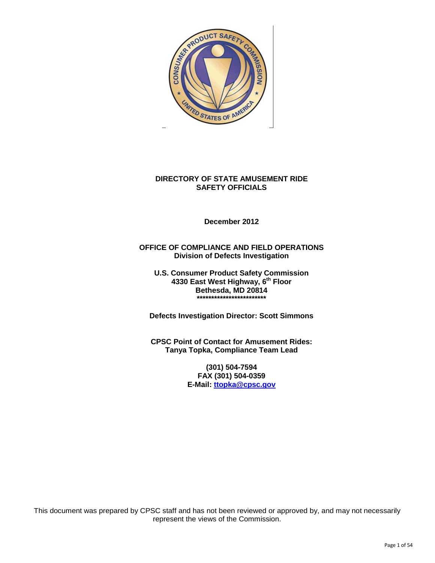

#### **DIRECTORY OF STATE AMUSEMENT RIDE SAFETY OFFICIALS**

**December 2012** 

#### **OFFICE OF COMPLIANCE AND FIELD OPERATIONS Division of Defects Investigation**

**U.S. Consumer Product Safety Commission 4330 East West Highway, 6th Floor Bethesda, MD 20814 \*\*\*\*\*\*\*\*\*\*\*\*\*\*\*\*\*\*\*\*\*\*\*\*** 

**Defects Investigation Director: Scott Simmons** 

**CPSC Point of Contact for Amusement Rides: Tanya Topka, Compliance Team Lead** 

> **(301) 504-7594 FAX (301) 504-0359 E-Mail: ttopka@cpsc.gov**

This document was prepared by CPSC staff and has not been reviewed or approved by, and may not necessarily represent the views of the Commission.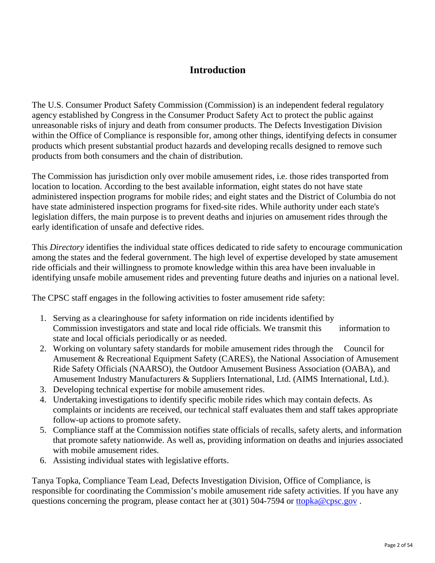#### **Introduction**

The U.S. Consumer Product Safety Commission (Commission) is an independent federal regulatory agency established by Congress in the Consumer Product Safety Act to protect the public against unreasonable risks of injury and death from consumer products. The Defects Investigation Division within the Office of Compliance is responsible for, among other things, identifying defects in consumer products which present substantial product hazards and developing recalls designed to remove such products from both consumers and the chain of distribution.

The Commission has jurisdiction only over mobile amusement rides, i.e. those rides transported from location to location. According to the best available information, eight states do not have state administered inspection programs for mobile rides; and eight states and the District of Columbia do not have state administered inspection programs for fixed-site rides. While authority under each state's legislation differs, the main purpose is to prevent deaths and injuries on amusement rides through the early identification of unsafe and defective rides.

This *Directory* identifies the individual state offices dedicated to ride safety to encourage communication among the states and the federal government. The high level of expertise developed by state amusement ride officials and their willingness to promote knowledge within this area have been invaluable in identifying unsafe mobile amusement rides and preventing future deaths and injuries on a national level.

The CPSC staff engages in the following activities to foster amusement ride safety:

- 1. Serving as a clearinghouse for safety information on ride incidents identified by Commission investigators and state and local ride officials. We transmit this information to state and local officials periodically or as needed.
- 2. Working on voluntary safety standards for mobile amusement rides through the Council for Amusement & Recreational Equipment Safety (CARES), the National Association of Amusement Ride Safety Officials (NAARSO), the Outdoor Amusement Business Association (OABA), and Amusement Industry Manufacturers & Suppliers International, Ltd. (AIMS International, Ltd.).
- 3. Developing technical expertise for mobile amusement rides.
- 4. Undertaking investigations to identify specific mobile rides which may contain defects. As complaints or incidents are received, our technical staff evaluates them and staff takes appropriate follow-up actions to promote safety.
- 5. Compliance staff at the Commission notifies state officials of recalls, safety alerts, and information that promote safety nationwide. As well as, providing information on deaths and injuries associated with mobile amusement rides.
- 6. Assisting individual states with legislative efforts.

Tanya Topka, Compliance Team Lead, Defects Investigation Division, Office of Compliance, is responsible for coordinating the Commission's mobile amusement ride safety activities. If you have any questions concerning the program, please contact her at (301) 504-7594 or ttopka@cpsc.gov.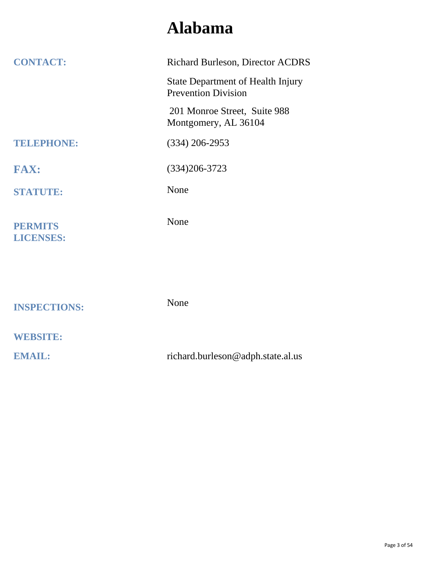#### **Alabama**

| <b>CONTACT:</b>                    | <b>Richard Burleson, Director ACDRS</b>                                |
|------------------------------------|------------------------------------------------------------------------|
|                                    | <b>State Department of Health Injury</b><br><b>Prevention Division</b> |
|                                    | 201 Monroe Street, Suite 988<br>Montgomery, AL 36104                   |
| TELEPHONE:                         | $(334)$ 206-2953                                                       |
| <b>FAX:</b>                        | $(334)206 - 3723$                                                      |
| <b>STATUTE:</b>                    | None                                                                   |
| <b>PERMITS</b><br><b>LICENSES:</b> | None                                                                   |
|                                    |                                                                        |
| <b>INSPECTIONS:</b>                | None                                                                   |
| <b>WEBSITE:</b>                    |                                                                        |
| <b>EMAIL:</b>                      | richard.burleson@adph.state.al.us                                      |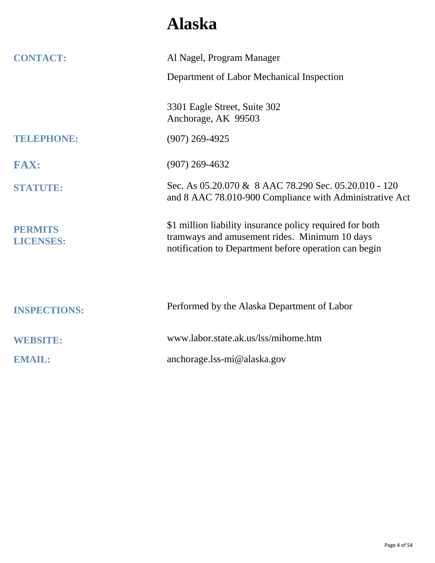## **Alaska**

| <b>CONTACT:</b>                    | Al Nagel, Program Manager                                                                                                                                          |
|------------------------------------|--------------------------------------------------------------------------------------------------------------------------------------------------------------------|
|                                    | Department of Labor Mechanical Inspection                                                                                                                          |
|                                    | 3301 Eagle Street, Suite 302<br>Anchorage, AK 99503                                                                                                                |
| TELEPHONE:                         | $(907)$ 269-4925                                                                                                                                                   |
| <b>FAX:</b>                        | $(907)$ 269-4632                                                                                                                                                   |
| <b>STATUTE:</b>                    | Sec. As 05.20.070 & 8 AAC 78.290 Sec. 05.20.010 - 120<br>and 8 AAC 78.010-900 Compliance with Administrative Act                                                   |
| <b>PERMITS</b><br><b>LICENSES:</b> | \$1 million liability insurance policy required for both<br>tramways and amusement rides. Minimum 10 days<br>notification to Department before operation can begin |
| <b>INSPECTIONS:</b>                | Performed by the Alaska Department of Labor                                                                                                                        |
| <b>WEBSITE:</b>                    | www.labor.state.ak.us/lss/mihome.htm                                                                                                                               |
| <b>EMAIL:</b>                      | anchorage.lss-mi@alaska.gov                                                                                                                                        |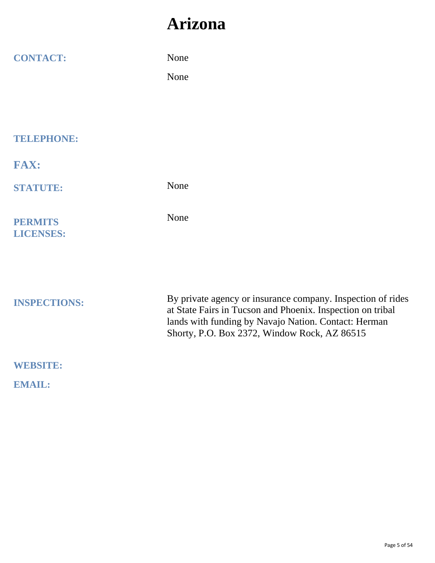#### **Arizona**

| <b>CONTACT:</b>                    | None<br>None                                                                                                                                                                                                                      |
|------------------------------------|-----------------------------------------------------------------------------------------------------------------------------------------------------------------------------------------------------------------------------------|
| <b>TELEPHONE:</b>                  |                                                                                                                                                                                                                                   |
| <b>FAX:</b>                        |                                                                                                                                                                                                                                   |
| <b>STATUTE:</b>                    | None                                                                                                                                                                                                                              |
| <b>PERMITS</b><br><b>LICENSES:</b> | None                                                                                                                                                                                                                              |
| <b>INSPECTIONS:</b>                | By private agency or insurance company. Inspection of rides<br>at State Fairs in Tucson and Phoenix. Inspection on tribal<br>lands with funding by Navajo Nation. Contact: Herman<br>Shorty, P.O. Box 2372, Window Rock, AZ 86515 |
| <b>WEBSITE:</b>                    |                                                                                                                                                                                                                                   |
| <b>EMAIL:</b>                      |                                                                                                                                                                                                                                   |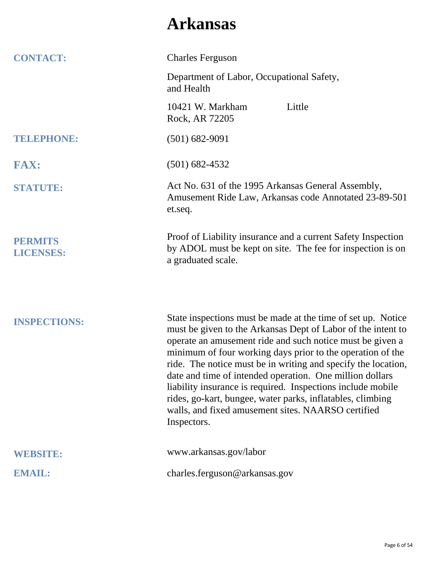### **Arkansas**

| <b>CONTACT:</b>                    | <b>Charles Ferguson</b>                                                                                                                                                                                                                                                                                                                                                                                                                                                                                                                                                                |
|------------------------------------|----------------------------------------------------------------------------------------------------------------------------------------------------------------------------------------------------------------------------------------------------------------------------------------------------------------------------------------------------------------------------------------------------------------------------------------------------------------------------------------------------------------------------------------------------------------------------------------|
|                                    | Department of Labor, Occupational Safety,<br>and Health                                                                                                                                                                                                                                                                                                                                                                                                                                                                                                                                |
|                                    | Little<br>10421 W. Markham<br>Rock, AR 72205                                                                                                                                                                                                                                                                                                                                                                                                                                                                                                                                           |
| <b>TELEPHONE:</b>                  | $(501) 682 - 9091$                                                                                                                                                                                                                                                                                                                                                                                                                                                                                                                                                                     |
| <b>FAX:</b>                        | $(501)$ 682-4532                                                                                                                                                                                                                                                                                                                                                                                                                                                                                                                                                                       |
| <b>STATUTE:</b>                    | Act No. 631 of the 1995 Arkansas General Assembly,<br>Amusement Ride Law, Arkansas code Annotated 23-89-501<br>et.seq.                                                                                                                                                                                                                                                                                                                                                                                                                                                                 |
| <b>PERMITS</b><br><b>LICENSES:</b> | Proof of Liability insurance and a current Safety Inspection<br>by ADOL must be kept on site. The fee for inspection is on<br>a graduated scale.                                                                                                                                                                                                                                                                                                                                                                                                                                       |
| <b>INSPECTIONS:</b>                | State inspections must be made at the time of set up. Notice<br>must be given to the Arkansas Dept of Labor of the intent to<br>operate an amusement ride and such notice must be given a<br>minimum of four working days prior to the operation of the<br>ride. The notice must be in writing and specify the location,<br>date and time of intended operation. One million dollars<br>liability insurance is required. Inspections include mobile<br>rides, go-kart, bungee, water parks, inflatables, climbing<br>walls, and fixed amusement sites. NAARSO certified<br>Inspectors. |
| <b>WEBSITE:</b>                    | www.arkansas.gov/labor                                                                                                                                                                                                                                                                                                                                                                                                                                                                                                                                                                 |
| <b>EMAIL:</b>                      | charles.ferguson@arkansas.gov                                                                                                                                                                                                                                                                                                                                                                                                                                                                                                                                                          |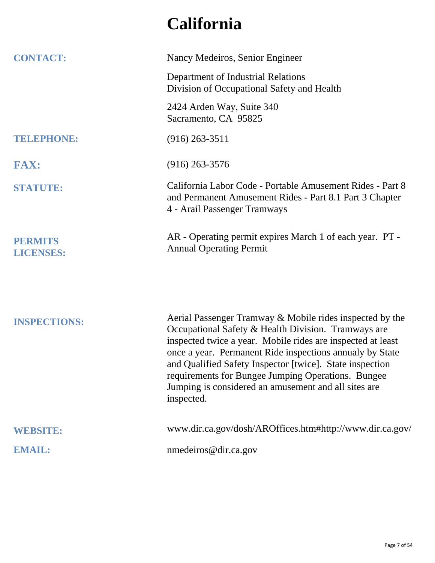## **California**

| <b>CONTACT:</b>                    | Nancy Medeiros, Senior Engineer                                                                                                                                                                                                                                                                                                                                                                                                    |
|------------------------------------|------------------------------------------------------------------------------------------------------------------------------------------------------------------------------------------------------------------------------------------------------------------------------------------------------------------------------------------------------------------------------------------------------------------------------------|
|                                    | Department of Industrial Relations<br>Division of Occupational Safety and Health                                                                                                                                                                                                                                                                                                                                                   |
|                                    | 2424 Arden Way, Suite 340<br>Sacramento, CA 95825                                                                                                                                                                                                                                                                                                                                                                                  |
| <b>TELEPHONE:</b>                  | $(916)$ 263-3511                                                                                                                                                                                                                                                                                                                                                                                                                   |
| <b>FAX:</b>                        | $(916)$ 263-3576                                                                                                                                                                                                                                                                                                                                                                                                                   |
| <b>STATUTE:</b>                    | California Labor Code - Portable Amusement Rides - Part 8<br>and Permanent Amusement Rides - Part 8.1 Part 3 Chapter<br>4 - Arail Passenger Tramways                                                                                                                                                                                                                                                                               |
| <b>PERMITS</b><br><b>LICENSES:</b> | AR - Operating permit expires March 1 of each year. PT -<br><b>Annual Operating Permit</b>                                                                                                                                                                                                                                                                                                                                         |
| <b>INSPECTIONS:</b>                | Aerial Passenger Tramway & Mobile rides inspected by the<br>Occupational Safety & Health Division. Tramways are<br>inspected twice a year. Mobile rides are inspected at least<br>once a year. Permanent Ride inspections annualy by State<br>and Qualified Safety Inspector [twice]. State inspection<br>requirements for Bungee Jumping Operations. Bungee<br>Jumping is considered an amusement and all sites are<br>inspected. |
| <b>WEBSITE:</b>                    | www.dir.ca.gov/dosh/AROffices.htm#http://www.dir.ca.gov/                                                                                                                                                                                                                                                                                                                                                                           |
| <b>EMAIL:</b>                      | nmedeiros@dir.ca.gov                                                                                                                                                                                                                                                                                                                                                                                                               |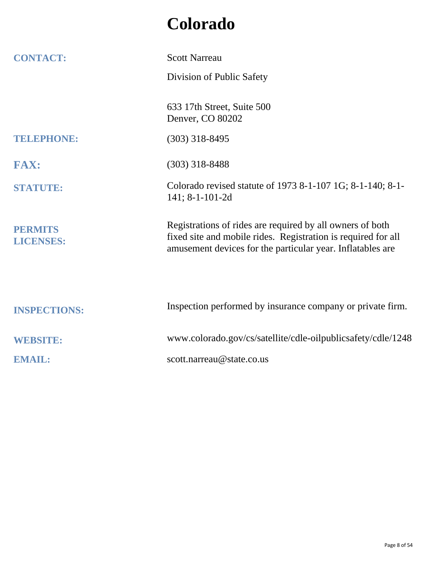## **Colorado**

| <b>CONTACT:</b>                    | <b>Scott Narreau</b>                                                                                                                                                                     |
|------------------------------------|------------------------------------------------------------------------------------------------------------------------------------------------------------------------------------------|
|                                    | Division of Public Safety                                                                                                                                                                |
|                                    | 633 17th Street, Suite 500<br>Denver, CO 80202                                                                                                                                           |
| TELEPHONE:                         | $(303)$ 318-8495                                                                                                                                                                         |
| <b>FAX:</b>                        | $(303)$ 318-8488                                                                                                                                                                         |
| <b>STATUTE:</b>                    | Colorado revised statute of 1973 8-1-107 1G; 8-1-140; 8-1-<br>141; 8-1-101-2d                                                                                                            |
| <b>PERMITS</b><br><b>LICENSES:</b> | Registrations of rides are required by all owners of both<br>fixed site and mobile rides. Registration is required for all<br>amusement devices for the particular year. Inflatables are |
| <b>INSPECTIONS:</b>                | Inspection performed by insurance company or private firm.                                                                                                                               |
| <b>WEBSITE:</b>                    | www.colorado.gov/cs/satellite/cdle-oilpublicsafety/cdle/1248                                                                                                                             |
| <b>EMAIL:</b>                      | scott.narreau@state.co.us                                                                                                                                                                |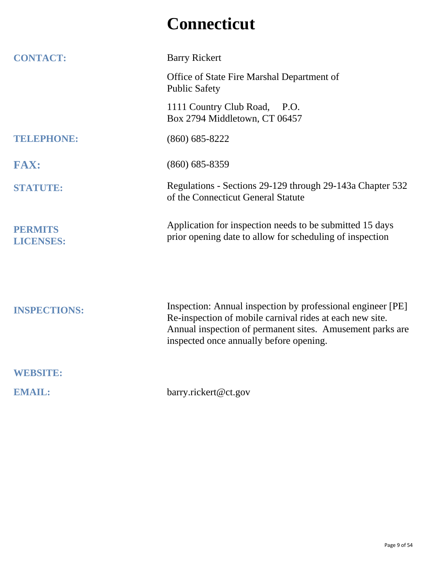#### **Connecticut**

| <b>CONTACT:</b>                    | <b>Barry Rickert</b>                                                                                                                                                                                                            |
|------------------------------------|---------------------------------------------------------------------------------------------------------------------------------------------------------------------------------------------------------------------------------|
|                                    | Office of State Fire Marshal Department of<br><b>Public Safety</b>                                                                                                                                                              |
|                                    | 1111 Country Club Road,<br><b>P.O.</b><br>Box 2794 Middletown, CT 06457                                                                                                                                                         |
| <b>TELEPHONE:</b>                  | $(860) 685 - 8222$                                                                                                                                                                                                              |
| <b>FAX:</b>                        | $(860) 685 - 8359$                                                                                                                                                                                                              |
| <b>STATUTE:</b>                    | Regulations - Sections 29-129 through 29-143a Chapter 532<br>of the Connecticut General Statute                                                                                                                                 |
| <b>PERMITS</b><br><b>LICENSES:</b> | Application for inspection needs to be submitted 15 days<br>prior opening date to allow for scheduling of inspection                                                                                                            |
| <b>INSPECTIONS:</b>                | Inspection: Annual inspection by professional engineer [PE]<br>Re-inspection of mobile carnival rides at each new site.<br>Annual inspection of permanent sites. Amusement parks are<br>inspected once annually before opening. |
| <b>WEBSITE:</b>                    |                                                                                                                                                                                                                                 |
| <b>EMAIL:</b>                      | barry.rickert@ct.gov                                                                                                                                                                                                            |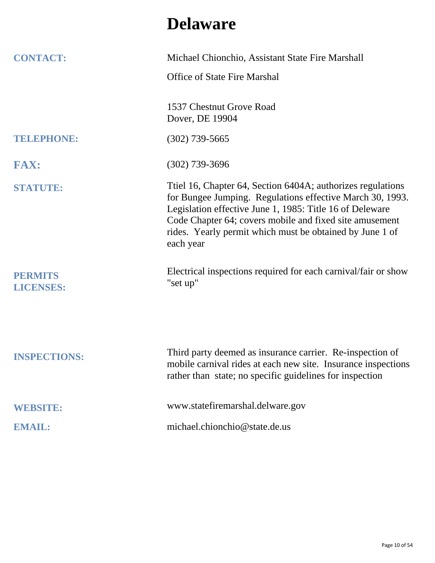#### **Delaware**

| <b>CONTACT:</b>                    | Michael Chionchio, Assistant State Fire Marshall                                                                                                                                                                                                                                                                         |
|------------------------------------|--------------------------------------------------------------------------------------------------------------------------------------------------------------------------------------------------------------------------------------------------------------------------------------------------------------------------|
|                                    | <b>Office of State Fire Marshal</b>                                                                                                                                                                                                                                                                                      |
|                                    | 1537 Chestnut Grove Road<br>Dover, DE 19904                                                                                                                                                                                                                                                                              |
| <b>TELEPHONE:</b>                  | $(302)$ 739-5665                                                                                                                                                                                                                                                                                                         |
| <b>FAX:</b>                        | $(302)$ 739-3696                                                                                                                                                                                                                                                                                                         |
| <b>STATUTE:</b>                    | Ttiel 16, Chapter 64, Section 6404A; authorizes regulations<br>for Bungee Jumping. Regulations effective March 30, 1993.<br>Legislation effective June 1, 1985: Title 16 of Deleware<br>Code Chapter 64; covers mobile and fixed site amusement<br>rides. Yearly permit which must be obtained by June 1 of<br>each year |
| <b>PERMITS</b><br><b>LICENSES:</b> | Electrical inspections required for each carnival/fair or show<br>"set up"                                                                                                                                                                                                                                               |
| <b>INSPECTIONS:</b>                | Third party deemed as insurance carrier. Re-inspection of<br>mobile carnival rides at each new site. Insurance inspections<br>rather than state; no specific guidelines for inspection                                                                                                                                   |
| <b>WEBSITE:</b>                    | www.statefiremarshal.delware.gov                                                                                                                                                                                                                                                                                         |
| <b>EMAIL:</b>                      | michael.chionchio@state.de.us                                                                                                                                                                                                                                                                                            |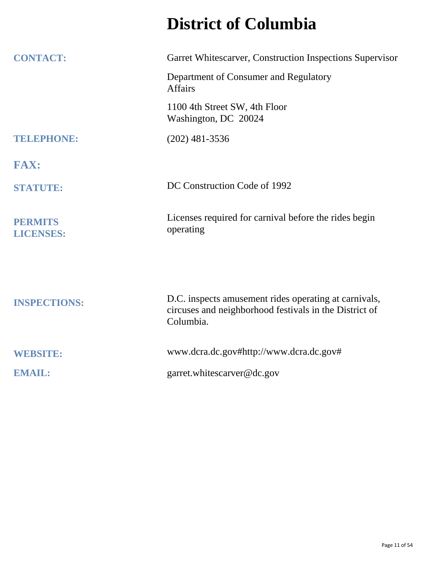## **District of Columbia**

| <b>CONTACT:</b>                    | Garret Whitescarver, Construction Inspections Supervisor                                                                     |
|------------------------------------|------------------------------------------------------------------------------------------------------------------------------|
|                                    | Department of Consumer and Regulatory<br><b>Affairs</b>                                                                      |
|                                    | 1100 4th Street SW, 4th Floor<br>Washington, DC 20024                                                                        |
| TELEPHONE:                         | $(202)$ 481-3536                                                                                                             |
| <b>FAX:</b>                        |                                                                                                                              |
| <b>STATUTE:</b>                    | DC Construction Code of 1992                                                                                                 |
| <b>PERMITS</b><br><b>LICENSES:</b> | Licenses required for carnival before the rides begin<br>operating                                                           |
|                                    |                                                                                                                              |
| <b>INSPECTIONS:</b>                | D.C. inspects amusement rides operating at carnivals,<br>circuses and neighborhood festivals in the District of<br>Columbia. |
| <b>WEBSITE:</b>                    | www.dcra.dc.gov#http://www.dcra.dc.gov#                                                                                      |
| <b>EMAIL:</b>                      | garret.whitescarver@dc.gov                                                                                                   |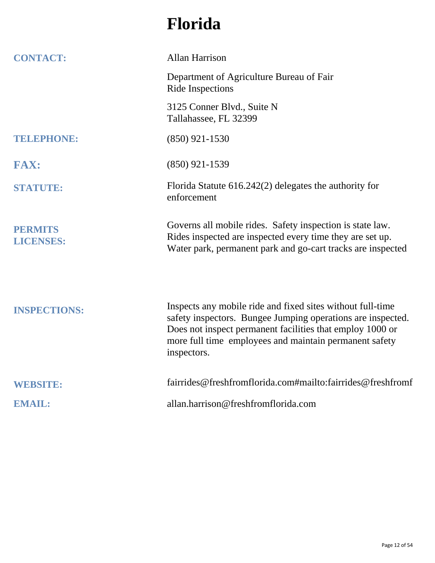## **Florida**

| <b>CONTACT:</b>                    | <b>Allan Harrison</b>                                                                                                                                                                                                                                           |
|------------------------------------|-----------------------------------------------------------------------------------------------------------------------------------------------------------------------------------------------------------------------------------------------------------------|
|                                    | Department of Agriculture Bureau of Fair<br><b>Ride Inspections</b>                                                                                                                                                                                             |
|                                    | 3125 Conner Blvd., Suite N<br>Tallahassee, FL 32399                                                                                                                                                                                                             |
| <b>TELEPHONE:</b>                  | $(850)$ 921-1530                                                                                                                                                                                                                                                |
| <b>FAX:</b>                        | $(850)$ 921-1539                                                                                                                                                                                                                                                |
| <b>STATUTE:</b>                    | Florida Statute $616.242(2)$ delegates the authority for<br>enforcement                                                                                                                                                                                         |
| <b>PERMITS</b><br><b>LICENSES:</b> | Governs all mobile rides. Safety inspection is state law.<br>Rides inspected are inspected every time they are set up.<br>Water park, permanent park and go-cart tracks are inspected                                                                           |
| <b>INSPECTIONS:</b>                | Inspects any mobile ride and fixed sites without full-time<br>safety inspectors. Bungee Jumping operations are inspected.<br>Does not inspect permanent facilities that employ 1000 or<br>more full time employees and maintain permanent safety<br>inspectors. |
| <b>WEBSITE:</b>                    | fairrides@freshfromflorida.com#mailto:fairrides@freshfromf                                                                                                                                                                                                      |
| <b>EMAIL:</b>                      | allan.harrison@freshfromflorida.com                                                                                                                                                                                                                             |
|                                    |                                                                                                                                                                                                                                                                 |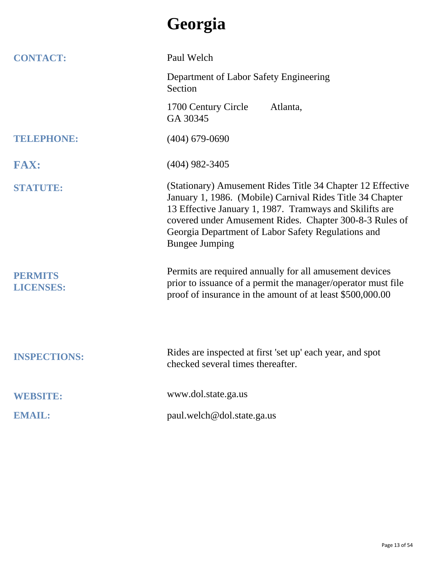## **Georgia**

| <b>CONTACT:</b>                    | Paul Welch                                                                                                                                                                                                                                                                                                                   |
|------------------------------------|------------------------------------------------------------------------------------------------------------------------------------------------------------------------------------------------------------------------------------------------------------------------------------------------------------------------------|
|                                    | Department of Labor Safety Engineering<br>Section                                                                                                                                                                                                                                                                            |
|                                    | 1700 Century Circle<br>Atlanta,<br>GA 30345                                                                                                                                                                                                                                                                                  |
| <b>TELEPHONE:</b>                  | $(404)$ 679-0690                                                                                                                                                                                                                                                                                                             |
| <b>FAX:</b>                        | $(404)$ 982-3405                                                                                                                                                                                                                                                                                                             |
| <b>STATUTE:</b>                    | (Stationary) Amusement Rides Title 34 Chapter 12 Effective<br>January 1, 1986. (Mobile) Carnival Rides Title 34 Chapter<br>13 Effective January 1, 1987. Tramways and Skilifts are<br>covered under Amusement Rides. Chapter 300-8-3 Rules of<br>Georgia Department of Labor Safety Regulations and<br><b>Bungee Jumping</b> |
| <b>PERMITS</b><br><b>LICENSES:</b> | Permits are required annually for all amusement devices<br>prior to issuance of a permit the manager/operator must file<br>proof of insurance in the amount of at least \$500,000.00                                                                                                                                         |
| <b>INSPECTIONS:</b>                | Rides are inspected at first 'set up' each year, and spot<br>checked several times thereafter.                                                                                                                                                                                                                               |
| <b>WEBSITE:</b>                    | www.dol.state.ga.us                                                                                                                                                                                                                                                                                                          |
| <b>EMAIL:</b>                      | paul.welch@dol.state.ga.us                                                                                                                                                                                                                                                                                                   |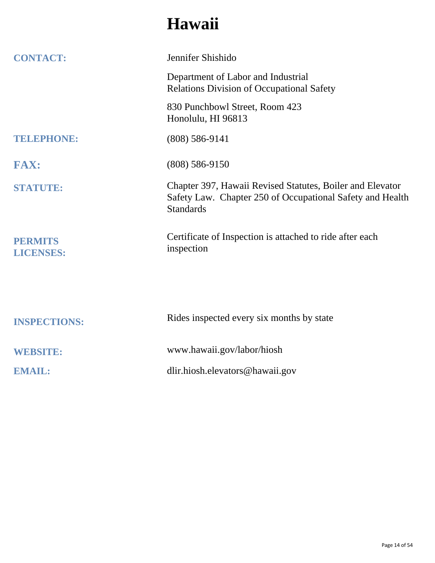## **Hawaii**

| <b>CONTACT:</b>                    | Jennifer Shishido                                                                                                                          |
|------------------------------------|--------------------------------------------------------------------------------------------------------------------------------------------|
|                                    | Department of Labor and Industrial<br><b>Relations Division of Occupational Safety</b>                                                     |
|                                    | 830 Punchbowl Street, Room 423<br>Honolulu, HI 96813                                                                                       |
| <b>TELEPHONE:</b>                  | $(808) 586 - 9141$                                                                                                                         |
| <b>FAX:</b>                        | $(808) 586 - 9150$                                                                                                                         |
| <b>STATUTE:</b>                    | Chapter 397, Hawaii Revised Statutes, Boiler and Elevator<br>Safety Law. Chapter 250 of Occupational Safety and Health<br><b>Standards</b> |
| <b>PERMITS</b><br><b>LICENSES:</b> | Certificate of Inspection is attached to ride after each<br>inspection                                                                     |
|                                    |                                                                                                                                            |
| <b>INSPECTIONS:</b>                | Rides inspected every six months by state                                                                                                  |
| <b>WEBSITE:</b>                    | www.hawaii.gov/labor/hiosh                                                                                                                 |
| <b>EMAIL:</b>                      | dlir.hiosh.elevators@hawaii.gov                                                                                                            |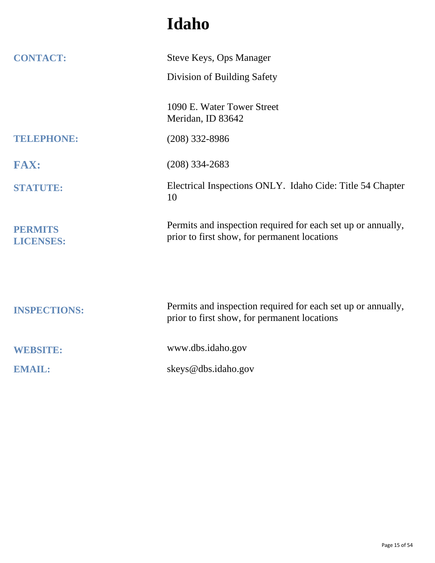## **Idaho**

| <b>CONTACT:</b>                    | <b>Steve Keys, Ops Manager</b>                                                                               |
|------------------------------------|--------------------------------------------------------------------------------------------------------------|
|                                    | Division of Building Safety                                                                                  |
|                                    | 1090 E. Water Tower Street<br>Meridan, ID 83642                                                              |
| TELEPHONE:                         | $(208)$ 332-8986                                                                                             |
| <b>FAX:</b>                        | $(208)$ 334-2683                                                                                             |
| <b>STATUTE:</b>                    | Electrical Inspections ONLY. Idaho Cide: Title 54 Chapter<br>10                                              |
| <b>PERMITS</b><br><b>LICENSES:</b> | Permits and inspection required for each set up or annually,<br>prior to first show, for permanent locations |
|                                    |                                                                                                              |
| <b>INSPECTIONS:</b>                | Permits and inspection required for each set up or annually,<br>prior to first show, for permanent locations |
| <b>WEBSITE:</b>                    | www.dbs.idaho.gov                                                                                            |
| <b>EMAIL:</b>                      | skeys@dbs.idaho.gov                                                                                          |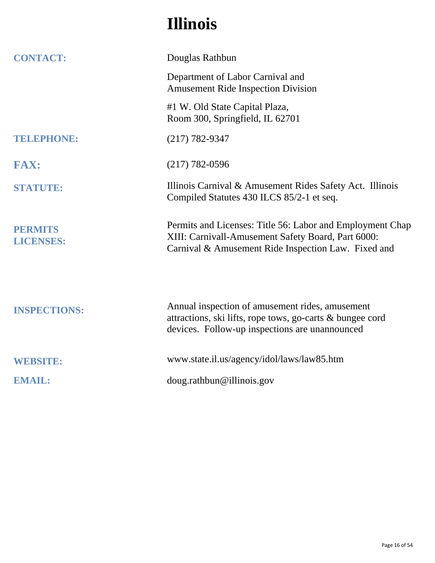## **Illinois**

| <b>CONTACT:</b>                    | Douglas Rathbun                                                                                                                                                        |
|------------------------------------|------------------------------------------------------------------------------------------------------------------------------------------------------------------------|
|                                    | Department of Labor Carnival and<br><b>Amusement Ride Inspection Division</b>                                                                                          |
|                                    | #1 W. Old State Capital Plaza,<br>Room 300, Springfield, IL 62701                                                                                                      |
| TELEPHONE:                         | $(217) 782 - 9347$                                                                                                                                                     |
| <b>FAX:</b>                        | $(217) 782 - 0596$                                                                                                                                                     |
| <b>STATUTE:</b>                    | Illinois Carnival & Amusement Rides Safety Act. Illinois<br>Compiled Statutes 430 ILCS 85/2-1 et seq.                                                                  |
| <b>PERMITS</b><br><b>LICENSES:</b> | Permits and Licenses: Title 56: Labor and Employment Chap<br>XIII: Carnivall-Amusement Safety Board, Part 6000:<br>Carnival & Amusement Ride Inspection Law. Fixed and |
| <b>INSPECTIONS:</b>                | Annual inspection of amusement rides, amusement<br>attractions, ski lifts, rope tows, go-carts & bungee cord<br>devices. Follow-up inspections are unannounced         |
| <b>WEBSITE:</b>                    | www.state.il.us/agency/idol/laws/law85.htm                                                                                                                             |
| <b>EMAIL:</b>                      | doug.rathbun@illinois.gov                                                                                                                                              |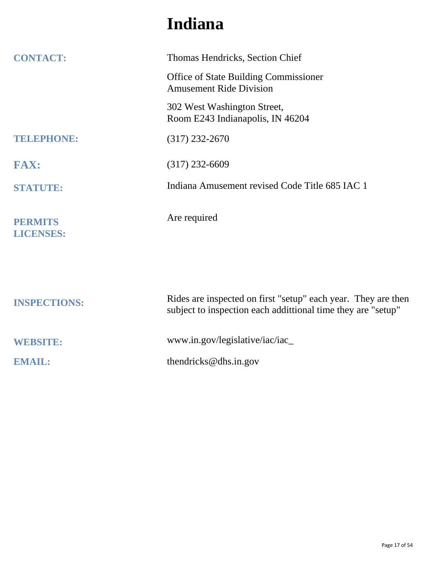### **Indiana**

| <b>CONTACT:</b>                    | Thomas Hendricks, Section Chief                                                                                               |
|------------------------------------|-------------------------------------------------------------------------------------------------------------------------------|
|                                    | <b>Office of State Building Commissioner</b><br><b>Amusement Ride Division</b>                                                |
|                                    | 302 West Washington Street,<br>Room E243 Indianapolis, IN 46204                                                               |
| <b>TELEPHONE:</b>                  | $(317)$ 232-2670                                                                                                              |
| <b>FAX:</b>                        | $(317)$ 232-6609                                                                                                              |
| <b>STATUTE:</b>                    | Indiana Amusement revised Code Title 685 IAC 1                                                                                |
| <b>PERMITS</b><br><b>LICENSES:</b> | Are required                                                                                                                  |
|                                    |                                                                                                                               |
| <b>INSPECTIONS:</b>                | Rides are inspected on first "setup" each year. They are then<br>subject to inspection each addittional time they are "setup" |
| <b>WEBSITE:</b>                    | www.in.gov/legislative/iac/iac_                                                                                               |
| <b>EMAIL:</b>                      | thendricks@dhs.in.gov                                                                                                         |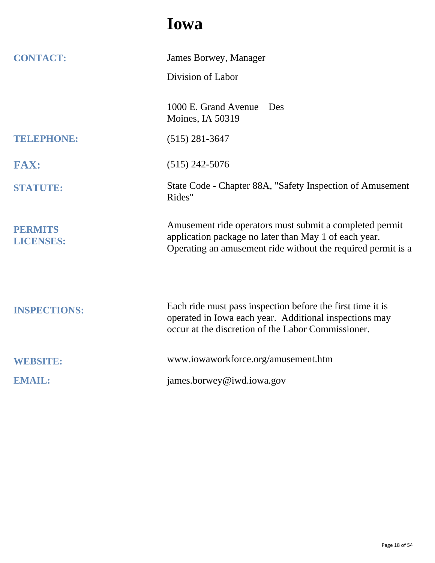#### **Iowa**

| <b>CONTACT:</b>                    | James Borwey, Manager                                                                                                                                                            |
|------------------------------------|----------------------------------------------------------------------------------------------------------------------------------------------------------------------------------|
|                                    | Division of Labor                                                                                                                                                                |
|                                    | 1000 E. Grand Avenue<br>Des<br>Moines, IA 50319                                                                                                                                  |
| TELEPHONE:                         | $(515)$ 281-3647                                                                                                                                                                 |
| <b>FAX:</b>                        | $(515)$ 242-5076                                                                                                                                                                 |
| <b>STATUTE:</b>                    | State Code - Chapter 88A, "Safety Inspection of Amusement<br>Rides"                                                                                                              |
| <b>PERMITS</b><br><b>LICENSES:</b> | Amusement ride operators must submit a completed permit<br>application package no later than May 1 of each year.<br>Operating an amusement ride without the required permit is a |
| <b>INSPECTIONS:</b>                | Each ride must pass inspection before the first time it is<br>operated in Iowa each year. Additional inspections may<br>occur at the discretion of the Labor Commissioner.       |
| <b>WEBSITE:</b>                    | www.iowaworkforce.org/amusement.htm                                                                                                                                              |
| <b>EMAIL:</b>                      | james.borwey@iwd.iowa.gov                                                                                                                                                        |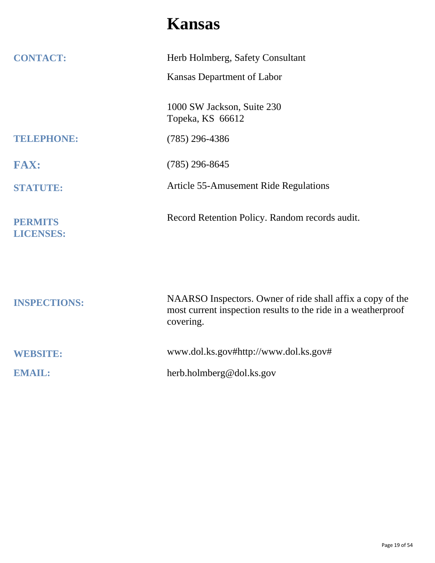#### **Kansas**

| <b>CONTACT:</b>                    | Herb Holmberg, Safety Consultant                                                                                                         |
|------------------------------------|------------------------------------------------------------------------------------------------------------------------------------------|
|                                    | Kansas Department of Labor                                                                                                               |
|                                    | 1000 SW Jackson, Suite 230<br>Topeka, KS 66612                                                                                           |
| <b>TELEPHONE:</b>                  | $(785)$ 296-4386                                                                                                                         |
| <b>FAX:</b>                        | $(785)$ 296-8645                                                                                                                         |
| <b>STATUTE:</b>                    | Article 55-Amusement Ride Regulations                                                                                                    |
| <b>PERMITS</b><br><b>LICENSES:</b> | Record Retention Policy. Random records audit.                                                                                           |
| <b>INSPECTIONS:</b>                | NAARSO Inspectors. Owner of ride shall affix a copy of the<br>most current inspection results to the ride in a weatherproof<br>covering. |
| <b>WEBSITE:</b>                    | www.dol.ks.gov#http://www.dol.ks.gov#                                                                                                    |
| <b>EMAIL:</b>                      | herb.holmberg@dol.ks.gov                                                                                                                 |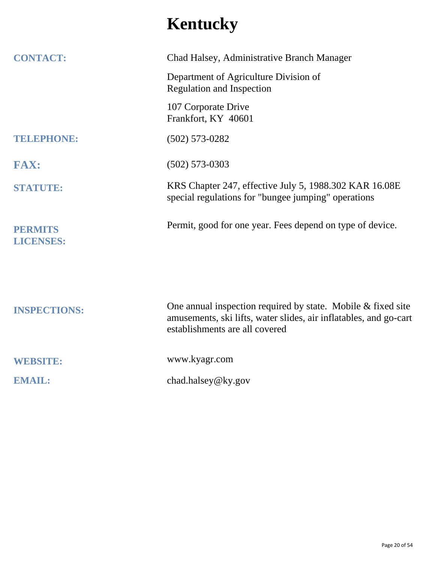# **Kentucky**

| <b>CONTACT:</b>                    | Chad Halsey, Administrative Branch Manager                                                                                                                            |
|------------------------------------|-----------------------------------------------------------------------------------------------------------------------------------------------------------------------|
|                                    | Department of Agriculture Division of<br><b>Regulation and Inspection</b>                                                                                             |
|                                    | 107 Corporate Drive<br>Frankfort, KY 40601                                                                                                                            |
| <b>TELEPHONE:</b>                  | $(502) 573 - 0282$                                                                                                                                                    |
| <b>FAX:</b>                        | $(502)$ 573-0303                                                                                                                                                      |
| <b>STATUTE:</b>                    | KRS Chapter 247, effective July 5, 1988.302 KAR 16.08E<br>special regulations for "bungee jumping" operations                                                         |
| <b>PERMITS</b><br><b>LICENSES:</b> | Permit, good for one year. Fees depend on type of device.                                                                                                             |
|                                    |                                                                                                                                                                       |
| <b>INSPECTIONS:</b>                | One annual inspection required by state. Mobile $&$ fixed site<br>amusements, ski lifts, water slides, air inflatables, and go-cart<br>establishments are all covered |
| <b>WEBSITE:</b>                    | www.kyagr.com                                                                                                                                                         |
| <b>EMAIL:</b>                      | chad.halsey@ky.gov                                                                                                                                                    |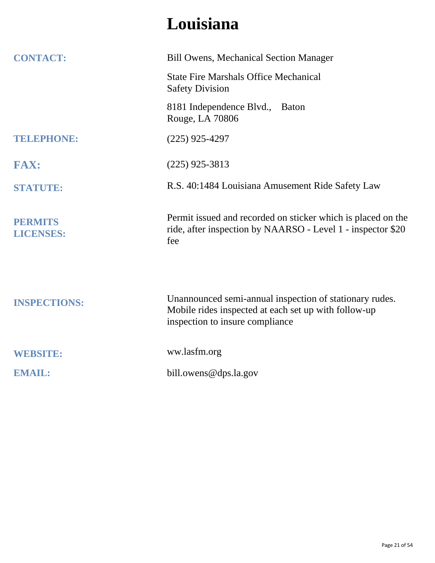## **Louisiana**

| <b>CONTACT:</b>                    | <b>Bill Owens, Mechanical Section Manager</b>                                                                                                      |
|------------------------------------|----------------------------------------------------------------------------------------------------------------------------------------------------|
|                                    | <b>State Fire Marshals Office Mechanical</b><br><b>Safety Division</b>                                                                             |
|                                    | 8181 Independence Blvd., Baton<br>Rouge, LA 70806                                                                                                  |
| <b>TELEPHONE:</b>                  | $(225)$ 925-4297                                                                                                                                   |
| <b>FAX:</b>                        | $(225)$ 925-3813                                                                                                                                   |
| <b>STATUTE:</b>                    | R.S. 40:1484 Louisiana Amusement Ride Safety Law                                                                                                   |
| <b>PERMITS</b><br><b>LICENSES:</b> | Permit issued and recorded on sticker which is placed on the<br>ride, after inspection by NAARSO - Level 1 - inspector \$20<br>fee                 |
| <b>INSPECTIONS:</b>                | Unannounced semi-annual inspection of stationary rudes.<br>Mobile rides inspected at each set up with follow-up<br>inspection to insure compliance |
| <b>WEBSITE:</b>                    | ww.lasfm.org                                                                                                                                       |
| <b>EMAIL:</b>                      | bill.owens@dps.la.gov                                                                                                                              |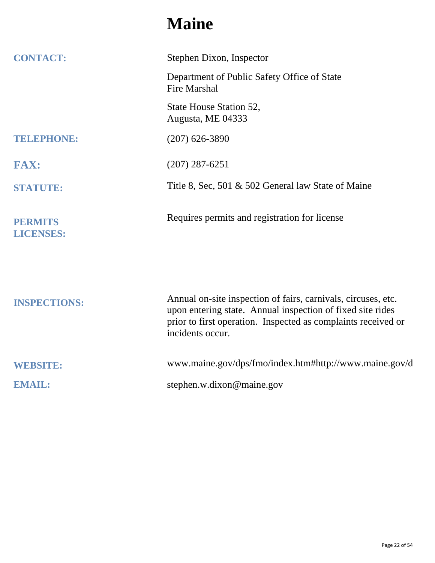#### **Maine**

| <b>CONTACT:</b>                    | Stephen Dixon, Inspector                                                                                                                                                                                         |
|------------------------------------|------------------------------------------------------------------------------------------------------------------------------------------------------------------------------------------------------------------|
|                                    | Department of Public Safety Office of State<br><b>Fire Marshal</b>                                                                                                                                               |
|                                    | State House Station 52,<br>Augusta, ME 04333                                                                                                                                                                     |
| <b>TELEPHONE:</b>                  | $(207)$ 626-3890                                                                                                                                                                                                 |
| <b>FAX:</b>                        | $(207)$ 287-6251                                                                                                                                                                                                 |
| <b>STATUTE:</b>                    | Title 8, Sec, 501 & 502 General law State of Maine                                                                                                                                                               |
| <b>PERMITS</b><br><b>LICENSES:</b> | Requires permits and registration for license                                                                                                                                                                    |
| <b>INSPECTIONS:</b>                | Annual on-site inspection of fairs, carnivals, circuses, etc.<br>upon entering state. Annual inspection of fixed site rides<br>prior to first operation. Inspected as complaints received or<br>incidents occur. |
| <b>WEBSITE:</b>                    | www.maine.gov/dps/fmo/index.htm#http://www.maine.gov/d                                                                                                                                                           |
| <b>EMAIL:</b>                      | stephen.w.dixon@maine.gov                                                                                                                                                                                        |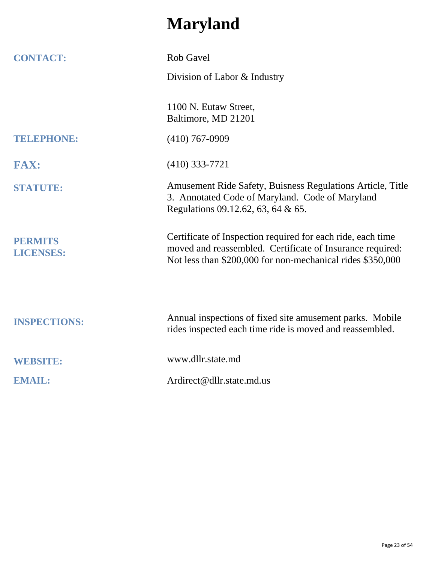## **Maryland**

| <b>CONTACT:</b>                    | <b>Rob Gavel</b>                                                                                                                                                                       |
|------------------------------------|----------------------------------------------------------------------------------------------------------------------------------------------------------------------------------------|
|                                    | Division of Labor & Industry                                                                                                                                                           |
|                                    | 1100 N. Eutaw Street,<br>Baltimore, MD 21201                                                                                                                                           |
| <b>TELEPHONE:</b>                  | $(410)$ 767-0909                                                                                                                                                                       |
| <b>FAX:</b>                        | $(410)$ 333-7721                                                                                                                                                                       |
| <b>STATUTE:</b>                    | Amusement Ride Safety, Buisness Regulations Article, Title<br>3. Annotated Code of Maryland. Code of Maryland<br>Regulations 09.12.62, 63, 64 & 65.                                    |
| <b>PERMITS</b><br><b>LICENSES:</b> | Certificate of Inspection required for each ride, each time<br>moved and reassembled. Certificate of Insurance required:<br>Not less than \$200,000 for non-mechanical rides \$350,000 |
| <b>INSPECTIONS:</b>                | Annual inspections of fixed site amusement parks. Mobile<br>rides inspected each time ride is moved and reassembled.                                                                   |
| <b>WEBSITE:</b>                    | www.dllr.state.md                                                                                                                                                                      |
| <b>EMAIL:</b>                      | Ardirect@dllr.state.md.us                                                                                                                                                              |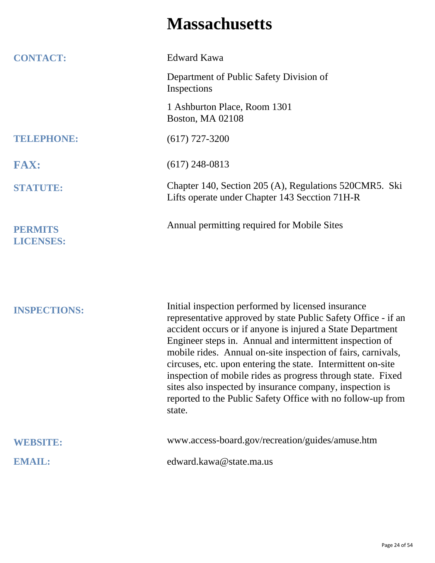#### **Massachusetts**

| <b>CONTACT:</b>                    | <b>Edward Kawa</b>                                                                                                                                                                                                                                                                                                                                                                                                                                                                                                                                                                |
|------------------------------------|-----------------------------------------------------------------------------------------------------------------------------------------------------------------------------------------------------------------------------------------------------------------------------------------------------------------------------------------------------------------------------------------------------------------------------------------------------------------------------------------------------------------------------------------------------------------------------------|
|                                    | Department of Public Safety Division of<br>Inspections                                                                                                                                                                                                                                                                                                                                                                                                                                                                                                                            |
|                                    | 1 Ashburton Place, Room 1301<br><b>Boston, MA 02108</b>                                                                                                                                                                                                                                                                                                                                                                                                                                                                                                                           |
| <b>TELEPHONE:</b>                  | $(617)$ 727-3200                                                                                                                                                                                                                                                                                                                                                                                                                                                                                                                                                                  |
| <b>FAX:</b>                        | $(617)$ 248-0813                                                                                                                                                                                                                                                                                                                                                                                                                                                                                                                                                                  |
| <b>STATUTE:</b>                    | Chapter 140, Section 205 (A), Regulations 520CMR5. Ski<br>Lifts operate under Chapter 143 Secction 71H-R                                                                                                                                                                                                                                                                                                                                                                                                                                                                          |
| <b>PERMITS</b><br><b>LICENSES:</b> | Annual permitting required for Mobile Sites                                                                                                                                                                                                                                                                                                                                                                                                                                                                                                                                       |
|                                    |                                                                                                                                                                                                                                                                                                                                                                                                                                                                                                                                                                                   |
| <b>INSPECTIONS:</b>                | Initial inspection performed by licensed insurance<br>representative approved by state Public Safety Office - if an<br>accident occurs or if anyone is injured a State Department<br>Engineer steps in. Annual and intermittent inspection of<br>mobile rides. Annual on-site inspection of fairs, carnivals,<br>circuses, etc. upon entering the state. Intermittent on-site<br>inspection of mobile rides as progress through state. Fixed<br>sites also inspected by insurance company, inspection is<br>reported to the Public Safety Office with no follow-up from<br>state. |
| <b>WEBSITE:</b>                    | www.access-board.gov/recreation/guides/amuse.htm                                                                                                                                                                                                                                                                                                                                                                                                                                                                                                                                  |
| <b>EMAIL:</b>                      | edward.kawa@state.ma.us                                                                                                                                                                                                                                                                                                                                                                                                                                                                                                                                                           |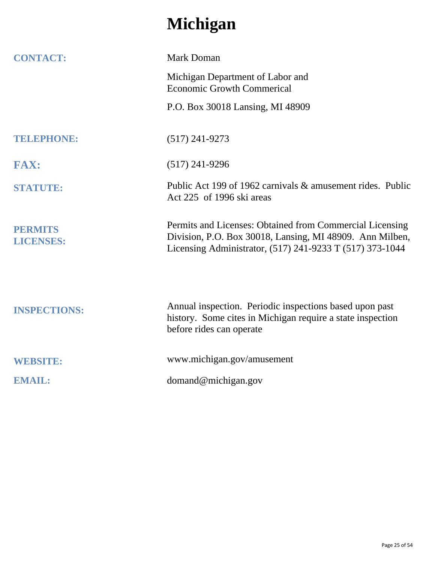## **Michigan**

| <b>CONTACT:</b>                    | <b>Mark Doman</b>                                                                                                                                                                |
|------------------------------------|----------------------------------------------------------------------------------------------------------------------------------------------------------------------------------|
|                                    | Michigan Department of Labor and<br><b>Economic Growth Commerical</b>                                                                                                            |
|                                    | P.O. Box 30018 Lansing, MI 48909                                                                                                                                                 |
| <b>TELEPHONE:</b>                  | $(517)$ 241-9273                                                                                                                                                                 |
| <b>FAX:</b>                        | $(517)$ 241-9296                                                                                                                                                                 |
| <b>STATUTE:</b>                    | Public Act 199 of 1962 carnivals & amusement rides. Public<br>Act 225 of 1996 ski areas                                                                                          |
| <b>PERMITS</b><br><b>LICENSES:</b> | Permits and Licenses: Obtained from Commercial Licensing<br>Division, P.O. Box 30018, Lansing, MI 48909. Ann Milben,<br>Licensing Administrator, (517) 241-9233 T (517) 373-1044 |
| <b>INSPECTIONS:</b>                | Annual inspection. Periodic inspections based upon past<br>history. Some cites in Michigan require a state inspection<br>before rides can operate                                |
| <b>WEBSITE:</b>                    | www.michigan.gov/amusement                                                                                                                                                       |
| <b>EMAIL:</b>                      | domand@michigan.gov                                                                                                                                                              |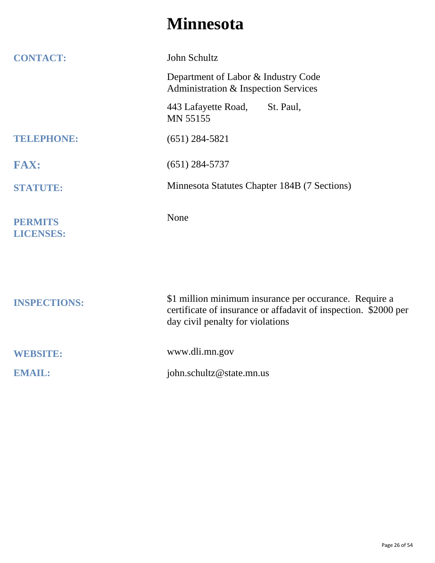#### **Minnesota**

| <b>CONTACT:</b>                    | John Schultz                                                                                                                                                  |
|------------------------------------|---------------------------------------------------------------------------------------------------------------------------------------------------------------|
|                                    | Department of Labor & Industry Code<br>Administration & Inspection Services                                                                                   |
|                                    | 443 Lafayette Road,<br>St. Paul,<br><b>MN 55155</b>                                                                                                           |
| <b>TELEPHONE:</b>                  | $(651)$ 284-5821                                                                                                                                              |
| <b>FAX:</b>                        | $(651)$ 284-5737                                                                                                                                              |
| <b>STATUTE:</b>                    | Minnesota Statutes Chapter 184B (7 Sections)                                                                                                                  |
| <b>PERMITS</b><br><b>LICENSES:</b> | None                                                                                                                                                          |
| <b>INSPECTIONS:</b>                | \$1 million minimum insurance per occurance. Require a<br>certificate of insurance or affadavit of inspection. \$2000 per<br>day civil penalty for violations |
| <b>WEBSITE:</b>                    | www.dli.mn.gov                                                                                                                                                |
| <b>EMAIL:</b>                      | john.schultz@state.mn.us                                                                                                                                      |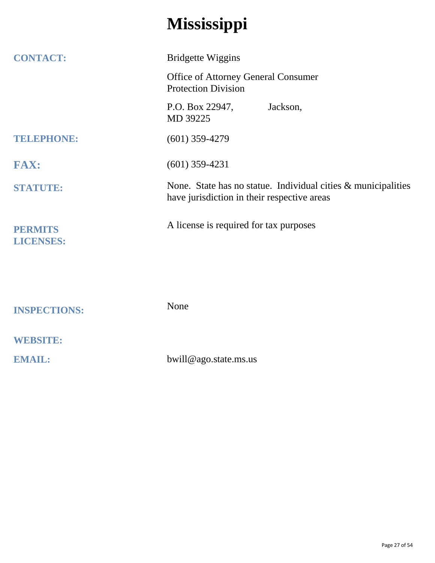## **Mississippi**

| <b>CONTACT:</b>     | <b>Bridgette Wiggins</b>                                                                                     |
|---------------------|--------------------------------------------------------------------------------------------------------------|
|                     | <b>Office of Attorney General Consumer</b><br><b>Protection Division</b>                                     |
|                     | P.O. Box 22947,<br>Jackson,<br>MD 39225                                                                      |
| <b>TELEPHONE:</b>   | $(601)$ 359-4279                                                                                             |
| <b>FAX:</b>         | $(601)$ 359-4231                                                                                             |
| <b>STATUTE:</b>     | None. State has no statue. Individual cities & municipalities<br>have jurisdiction in their respective areas |
| <b>PERMITS</b>      | A license is required for tax purposes                                                                       |
| <b>LICENSES:</b>    |                                                                                                              |
|                     |                                                                                                              |
| <b>INSPECTIONS:</b> | None                                                                                                         |
| <b>WEBSITE:</b>     |                                                                                                              |
| <b>EMAIL:</b>       | bwill@ago.state.ms.us                                                                                        |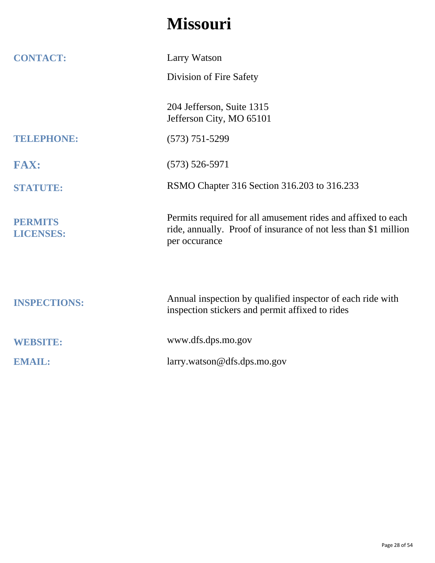## **Missouri**

| <b>CONTACT:</b>                    | Larry Watson                                                                                                                                     |
|------------------------------------|--------------------------------------------------------------------------------------------------------------------------------------------------|
|                                    | Division of Fire Safety                                                                                                                          |
|                                    | 204 Jefferson, Suite 1315<br>Jefferson City, MO 65101                                                                                            |
| <b>TELEPHONE:</b>                  | $(573) 751 - 5299$                                                                                                                               |
| <b>FAX:</b>                        | $(573)$ 526-5971                                                                                                                                 |
| <b>STATUTE:</b>                    | RSMO Chapter 316 Section 316.203 to 316.233                                                                                                      |
| <b>PERMITS</b><br><b>LICENSES:</b> | Permits required for all amusement rides and affixed to each<br>ride, annually. Proof of insurance of not less than \$1 million<br>per occurance |
| <b>INSPECTIONS:</b>                | Annual inspection by qualified inspector of each ride with<br>inspection stickers and permit affixed to rides                                    |
| <b>WEBSITE:</b>                    | www.dfs.dps.mo.gov                                                                                                                               |
| <b>EMAIL:</b>                      | larry.watson@dfs.dps.mo.gov                                                                                                                      |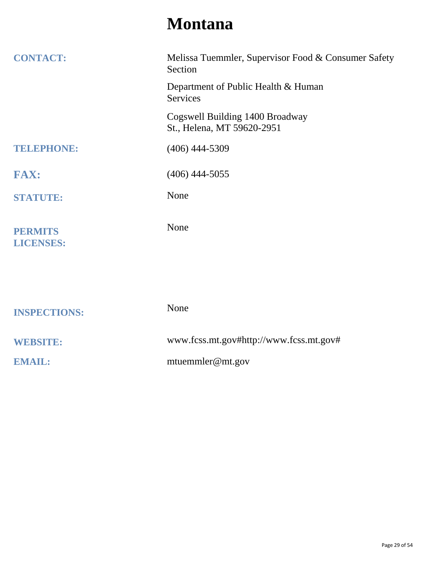### **Montana**

| <b>CONTACT:</b>                    | Melissa Tuemmler, Supervisor Food & Consumer Safety<br>Section |
|------------------------------------|----------------------------------------------------------------|
|                                    | Department of Public Health & Human<br>Services                |
|                                    | Cogswell Building 1400 Broadway<br>St., Helena, MT 59620-2951  |
| <b>TELEPHONE:</b>                  | $(406)$ 444-5309                                               |
| <b>FAX:</b>                        | $(406)$ 444-5055                                               |
| <b>STATUTE:</b>                    | None                                                           |
| <b>PERMITS</b><br><b>LICENSES:</b> | None                                                           |
|                                    |                                                                |
| <b>INSPECTIONS:</b>                | None                                                           |
| <b>WEBSITE:</b>                    | www.fcss.mt.gov#http://www.fcss.mt.gov#                        |
| <b>EMAIL:</b>                      | mtuemmler@mt.gov                                               |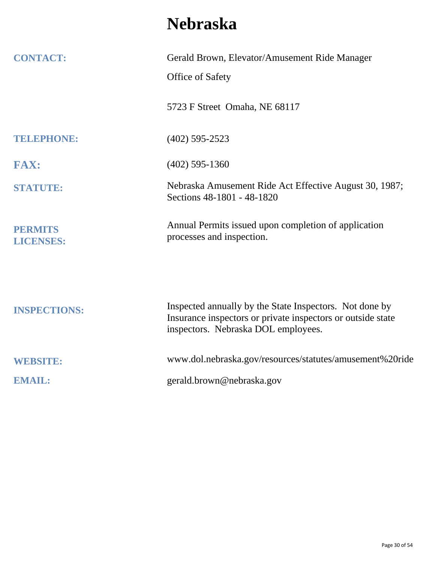## **Nebraska**

| <b>CONTACT:</b>                    | Gerald Brown, Elevator/Amusement Ride Manager                                                                                                                 |
|------------------------------------|---------------------------------------------------------------------------------------------------------------------------------------------------------------|
|                                    | Office of Safety                                                                                                                                              |
|                                    | 5723 F Street Omaha, NE 68117                                                                                                                                 |
| TELEPHONE:                         | $(402)$ 595-2523                                                                                                                                              |
| <b>FAX:</b>                        | $(402)$ 595-1360                                                                                                                                              |
| <b>STATUTE:</b>                    | Nebraska Amusement Ride Act Effective August 30, 1987;<br>Sections 48-1801 - 48-1820                                                                          |
| <b>PERMITS</b><br><b>LICENSES:</b> | Annual Permits issued upon completion of application<br>processes and inspection.                                                                             |
| <b>INSPECTIONS:</b>                | Inspected annually by the State Inspectors. Not done by<br>Insurance inspectors or private inspectors or outside state<br>inspectors. Nebraska DOL employees. |
| <b>WEBSITE:</b>                    | www.dol.nebraska.gov/resources/statutes/amusement%20ride                                                                                                      |
| <b>EMAIL:</b>                      | gerald.brown@nebraska.gov                                                                                                                                     |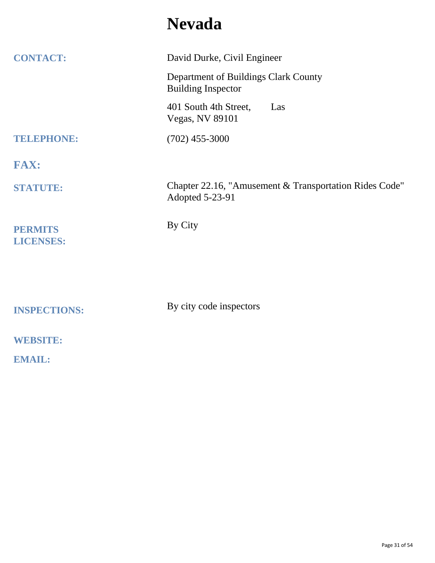### **Nevada**

| <b>CONTACT:</b>                    | David Durke, Civil Engineer                                               |
|------------------------------------|---------------------------------------------------------------------------|
|                                    | Department of Buildings Clark County<br><b>Building Inspector</b>         |
|                                    | 401 South 4th Street,<br>Las<br><b>Vegas, NV 89101</b>                    |
| <b>TELEPHONE:</b>                  | $(702)$ 455-3000                                                          |
| <b>FAX:</b>                        |                                                                           |
| <b>STATUTE:</b>                    | Chapter 22.16, "Amusement & Transportation Rides Code"<br>Adopted 5-23-91 |
| <b>PERMITS</b><br><b>LICENSES:</b> | By City                                                                   |
|                                    |                                                                           |
| <b>INSPECTIONS:</b>                | By city code inspectors                                                   |
| <b>WEBSITE:</b>                    |                                                                           |
| <b>EMAIL:</b>                      |                                                                           |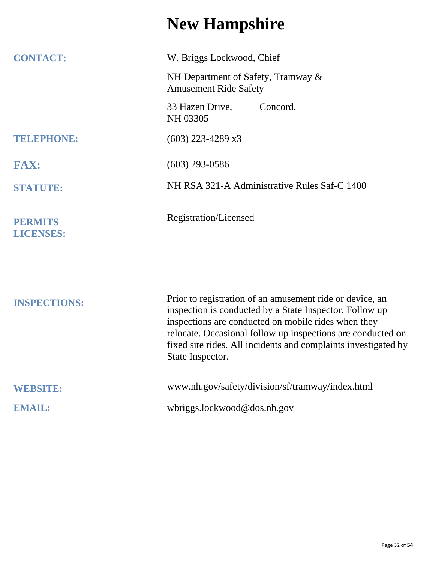## **New Hampshire**

| <b>CONTACT:</b>                    | W. Briggs Lockwood, Chief                                                                                                                                                                                |
|------------------------------------|----------------------------------------------------------------------------------------------------------------------------------------------------------------------------------------------------------|
|                                    | NH Department of Safety, Tramway &<br><b>Amusement Ride Safety</b>                                                                                                                                       |
|                                    | 33 Hazen Drive,<br>Concord,<br>NH 03305                                                                                                                                                                  |
| <b>TELEPHONE:</b>                  | $(603)$ 223-4289 x3                                                                                                                                                                                      |
| <b>FAX:</b>                        | $(603)$ 293-0586                                                                                                                                                                                         |
| <b>STATUTE:</b>                    | NH RSA 321-A Administrative Rules Saf-C 1400                                                                                                                                                             |
| <b>PERMITS</b><br><b>LICENSES:</b> | Registration/Licensed                                                                                                                                                                                    |
| <b>INSPECTIONS:</b>                | Prior to registration of an amusement ride or device, an<br>inspection is conducted by a State Inspector. Follow up                                                                                      |
|                                    | inspections are conducted on mobile rides when they<br>relocate. Occasional follow up inspections are conducted on<br>fixed site rides. All incidents and complaints investigated by<br>State Inspector. |
| <b>WEBSITE:</b>                    | www.nh.gov/safety/division/sf/tramway/index.html                                                                                                                                                         |
| <b>EMAIL:</b>                      | wbriggs.lockwood@dos.nh.gov                                                                                                                                                                              |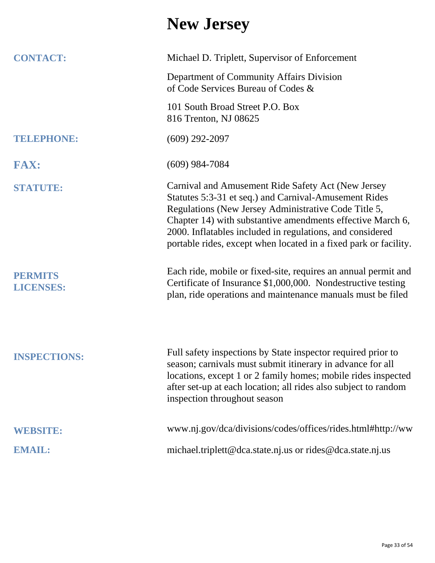## **New Jersey**

| <b>CONTACT:</b>                    | Michael D. Triplett, Supervisor of Enforcement                                                                                                                                                                                                                                                                                                                     |
|------------------------------------|--------------------------------------------------------------------------------------------------------------------------------------------------------------------------------------------------------------------------------------------------------------------------------------------------------------------------------------------------------------------|
|                                    | Department of Community Affairs Division<br>of Code Services Bureau of Codes &                                                                                                                                                                                                                                                                                     |
|                                    | 101 South Broad Street P.O. Box<br>816 Trenton, NJ 08625                                                                                                                                                                                                                                                                                                           |
| TELEPHONE:                         | $(609)$ 292-2097                                                                                                                                                                                                                                                                                                                                                   |
| <b>FAX:</b>                        | $(609)$ 984-7084                                                                                                                                                                                                                                                                                                                                                   |
| <b>STATUTE:</b>                    | Carnival and Amusement Ride Safety Act (New Jersey<br>Statutes 5:3-31 et seq.) and Carnival-Amusement Rides<br>Regulations (New Jersey Administrative Code Title 5,<br>Chapter 14) with substantive amendments effective March 6,<br>2000. Inflatables included in regulations, and considered<br>portable rides, except when located in a fixed park or facility. |
| <b>PERMITS</b><br><b>LICENSES:</b> | Each ride, mobile or fixed-site, requires an annual permit and<br>Certificate of Insurance \$1,000,000. Nondestructive testing<br>plan, ride operations and maintenance manuals must be filed                                                                                                                                                                      |
| <b>INSPECTIONS:</b>                | Full safety inspections by State inspector required prior to<br>season; carnivals must submit itinerary in advance for all<br>locations, except 1 or 2 family homes; mobile rides inspected<br>after set-up at each location; all rides also subject to random<br>inspection throughout season                                                                     |
| <b>WEBSITE:</b>                    | www.nj.gov/dca/divisions/codes/offices/rides.html#http://ww                                                                                                                                                                                                                                                                                                        |
| EMAIL:                             | michael.triplett@dca.state.nj.us or rides@dca.state.nj.us                                                                                                                                                                                                                                                                                                          |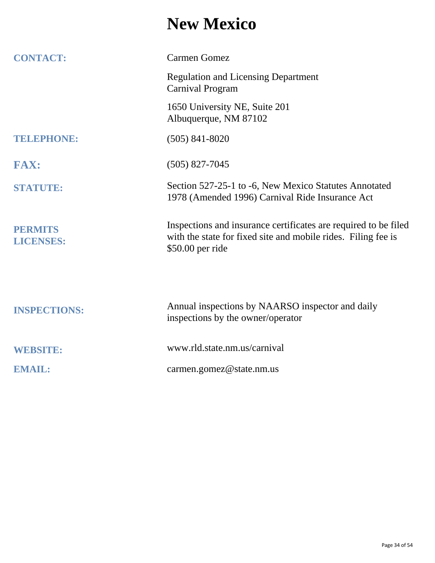#### **New Mexico**

| <b>CONTACT:</b>                    | <b>Carmen Gomez</b>                                                                                                                                  |
|------------------------------------|------------------------------------------------------------------------------------------------------------------------------------------------------|
|                                    | <b>Regulation and Licensing Department</b><br><b>Carnival Program</b>                                                                                |
|                                    | 1650 University NE, Suite 201<br>Albuquerque, NM 87102                                                                                               |
| TELEPHONE:                         | $(505)$ 841-8020                                                                                                                                     |
| <b>FAX:</b>                        | $(505)$ 827-7045                                                                                                                                     |
| <b>STATUTE:</b>                    | Section 527-25-1 to -6, New Mexico Statutes Annotated<br>1978 (Amended 1996) Carnival Ride Insurance Act                                             |
| <b>PERMITS</b><br><b>LICENSES:</b> | Inspections and insurance certificates are required to be filed<br>with the state for fixed site and mobile rides. Filing fee is<br>\$50.00 per ride |
|                                    |                                                                                                                                                      |
| <b>INSPECTIONS:</b>                | Annual inspections by NAARSO inspector and daily<br>inspections by the owner/operator                                                                |
| <b>WEBSITE:</b>                    | www.rld.state.nm.us/carnival                                                                                                                         |
| <b>EMAIL:</b>                      | carmen.gomez@state.nm.us                                                                                                                             |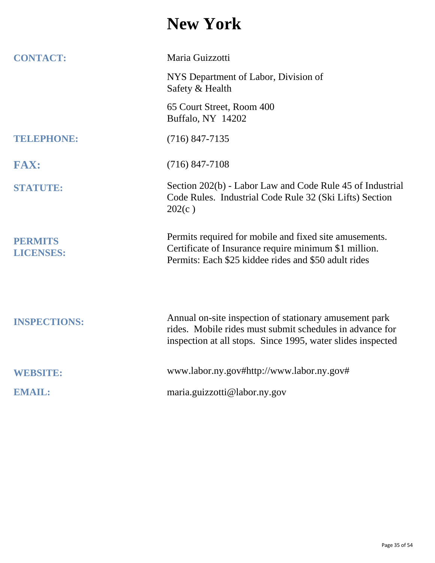#### **New York**

| <b>CONTACT:</b>                    | Maria Guizzotti                                                                                                                                                                   |
|------------------------------------|-----------------------------------------------------------------------------------------------------------------------------------------------------------------------------------|
|                                    | NYS Department of Labor, Division of<br>Safety & Health                                                                                                                           |
|                                    | 65 Court Street, Room 400<br>Buffalo, NY 14202                                                                                                                                    |
| TELEPHONE:                         | $(716)$ 847-7135                                                                                                                                                                  |
| <b>FAX:</b>                        | $(716)$ 847-7108                                                                                                                                                                  |
| <b>STATUTE:</b>                    | Section 202(b) - Labor Law and Code Rule 45 of Industrial<br>Code Rules. Industrial Code Rule 32 (Ski Lifts) Section<br>202(c)                                                    |
| <b>PERMITS</b><br><b>LICENSES:</b> | Permits required for mobile and fixed site amusements.<br>Certificate of Insurance require minimum \$1 million.<br>Permits: Each \$25 kiddee rides and \$50 adult rides           |
| <b>INSPECTIONS:</b>                | Annual on-site inspection of stationary amusement park<br>rides. Mobile rides must submit schedules in advance for<br>inspection at all stops. Since 1995, water slides inspected |
| <b>WEBSITE:</b>                    | www.labor.ny.gov#http://www.labor.ny.gov#                                                                                                                                         |
| <b>EMAIL:</b>                      | maria.guizzotti@labor.ny.gov                                                                                                                                                      |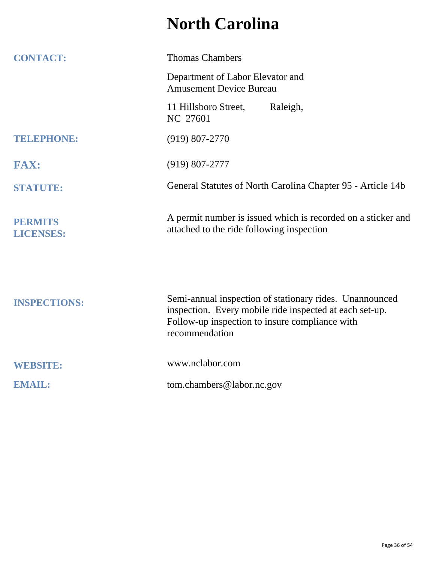## **North Carolina**

| <b>CONTACT:</b>                    | <b>Thomas Chambers</b>                                                                                                                                                                 |
|------------------------------------|----------------------------------------------------------------------------------------------------------------------------------------------------------------------------------------|
|                                    | Department of Labor Elevator and<br><b>Amusement Device Bureau</b>                                                                                                                     |
|                                    | Raleigh,<br>11 Hillsboro Street,<br>NC 27601                                                                                                                                           |
| <b>TELEPHONE:</b>                  | $(919) 807 - 2770$                                                                                                                                                                     |
| <b>FAX:</b>                        | $(919) 807 - 2777$                                                                                                                                                                     |
| <b>STATUTE:</b>                    | General Statutes of North Carolina Chapter 95 - Article 14b                                                                                                                            |
| <b>PERMITS</b><br><b>LICENSES:</b> | A permit number is issued which is recorded on a sticker and<br>attached to the ride following inspection                                                                              |
| <b>INSPECTIONS:</b>                | Semi-annual inspection of stationary rides. Unannounced<br>inspection. Every mobile ride inspected at each set-up.<br>Follow-up inspection to insure compliance with<br>recommendation |
| <b>WEBSITE:</b>                    | www.nclabor.com                                                                                                                                                                        |
| <b>EMAIL:</b>                      | tom.chambers@labor.nc.gov                                                                                                                                                              |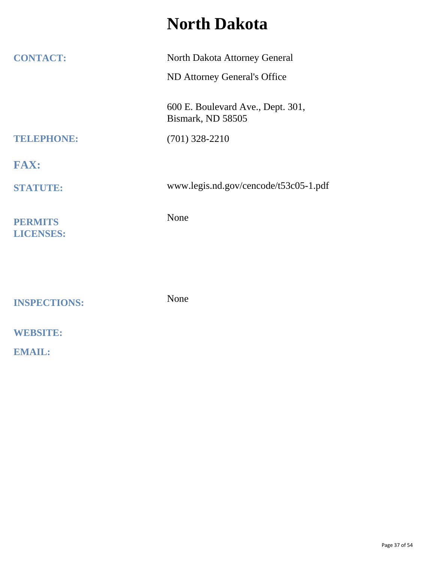#### **North Dakota**

| <b>CONTACT:</b>                    | North Dakota Attorney General                          |
|------------------------------------|--------------------------------------------------------|
|                                    | ND Attorney General's Office                           |
|                                    | 600 E. Boulevard Ave., Dept. 301,<br>Bismark, ND 58505 |
| TELEPHONE:                         | $(701)$ 328-2210                                       |
| <b>FAX:</b>                        |                                                        |
| <b>STATUTE:</b>                    | www.legis.nd.gov/cencode/t53c05-1.pdf                  |
| <b>PERMITS</b><br><b>LICENSES:</b> | None                                                   |
|                                    |                                                        |
| <b>INSPECTIONS:</b>                | None                                                   |
| <b>WEBSITE:</b>                    |                                                        |
| <b>EMAIL:</b>                      |                                                        |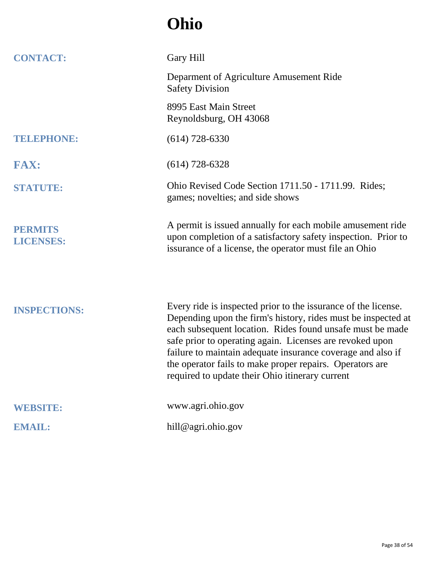## **Ohio**

| <b>CONTACT:</b>                    | Gary Hill                                                                                                                                                                                                                                                                                                                                                                                                                              |
|------------------------------------|----------------------------------------------------------------------------------------------------------------------------------------------------------------------------------------------------------------------------------------------------------------------------------------------------------------------------------------------------------------------------------------------------------------------------------------|
|                                    | Deparment of Agriculture Amusement Ride<br><b>Safety Division</b>                                                                                                                                                                                                                                                                                                                                                                      |
|                                    | 8995 East Main Street<br>Reynoldsburg, OH 43068                                                                                                                                                                                                                                                                                                                                                                                        |
| <b>TELEPHONE:</b>                  | $(614)$ 728-6330                                                                                                                                                                                                                                                                                                                                                                                                                       |
| <b>FAX:</b>                        | $(614)$ 728-6328                                                                                                                                                                                                                                                                                                                                                                                                                       |
| <b>STATUTE:</b>                    | Ohio Revised Code Section 1711.50 - 1711.99. Rides;<br>games; novelties; and side shows                                                                                                                                                                                                                                                                                                                                                |
| <b>PERMITS</b><br><b>LICENSES:</b> | A permit is issued annually for each mobile amusement ride<br>upon completion of a satisfactory safety inspection. Prior to<br>issurance of a license, the operator must file an Ohio                                                                                                                                                                                                                                                  |
| <b>INSPECTIONS:</b>                | Every ride is inspected prior to the issurance of the license.<br>Depending upon the firm's history, rides must be inspected at<br>each subsequent location. Rides found unsafe must be made<br>safe prior to operating again. Licenses are revoked upon<br>failure to maintain adequate insurance coverage and also if<br>the operator fails to make proper repairs. Operators are<br>required to update their Ohio itinerary current |
| <b>WEBSITE:</b>                    | www.agri.ohio.gov                                                                                                                                                                                                                                                                                                                                                                                                                      |
| <b>EMAIL:</b>                      | hill@agri.ohio.gov                                                                                                                                                                                                                                                                                                                                                                                                                     |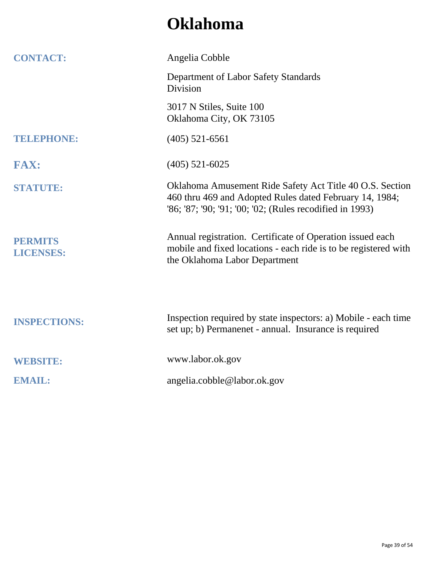### **Oklahoma**

| <b>CONTACT:</b>                    | Angelia Cobble                                                                                                                                                                  |
|------------------------------------|---------------------------------------------------------------------------------------------------------------------------------------------------------------------------------|
|                                    | Department of Labor Safety Standards<br><b>Division</b>                                                                                                                         |
|                                    | 3017 N Stiles, Suite 100<br>Oklahoma City, OK 73105                                                                                                                             |
| TELEPHONE:                         | $(405)$ 521-6561                                                                                                                                                                |
| <b>FAX:</b>                        | $(405)$ 521-6025                                                                                                                                                                |
| <b>STATUTE:</b>                    | Oklahoma Amusement Ride Safety Act Title 40 O.S. Section<br>460 thru 469 and Adopted Rules dated February 14, 1984;<br>'86; '87; '90; '91; '00; '02; (Rules recodified in 1993) |
| <b>PERMITS</b><br><b>LICENSES:</b> | Annual registration. Certificate of Operation issued each<br>mobile and fixed locations - each ride is to be registered with<br>the Oklahoma Labor Department                   |
| <b>INSPECTIONS:</b>                | Inspection required by state inspectors: a) Mobile - each time<br>set up; b) Permanenet - annual. Insurance is required                                                         |
| <b>WEBSITE:</b>                    | www.labor.ok.gov                                                                                                                                                                |
| <b>EMAIL:</b>                      | angelia.cobble@labor.ok.gov                                                                                                                                                     |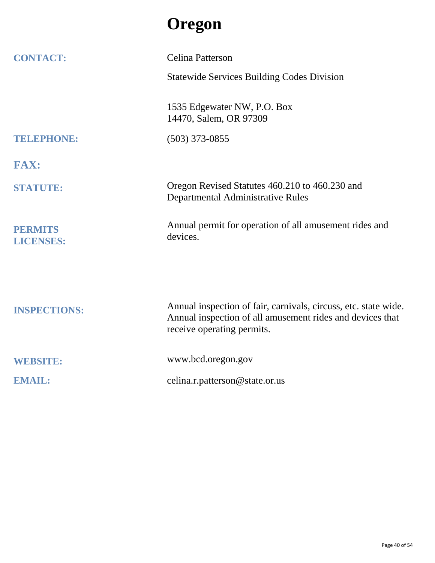## **Oregon**

| <b>CONTACT:</b>                    | Celina Patterson                                                                        |
|------------------------------------|-----------------------------------------------------------------------------------------|
|                                    | <b>Statewide Services Building Codes Division</b>                                       |
|                                    | 1535 Edgewater NW, P.O. Box<br>14470, Salem, OR 97309                                   |
| TELEPHONE:                         | $(503)$ 373-0855                                                                        |
| <b>FAX:</b>                        |                                                                                         |
| <b>STATUTE:</b>                    | Oregon Revised Statutes 460.210 to 460.230 and<br>Departmental Administrative Rules     |
| <b>PERMITS</b><br><b>LICENSES:</b> | Annual permit for operation of all amusement rides and<br>devices.                      |
|                                    | Annual inspection of fair, carnivals, circuss, etc. state wide.                         |
| <b>INSPECTIONS:</b>                | Annual inspection of all amusement rides and devices that<br>receive operating permits. |
| <b>WEBSITE:</b>                    | www.bcd.oregon.gov                                                                      |
| <b>EMAIL:</b>                      | celina.r.patterson@state.or.us                                                          |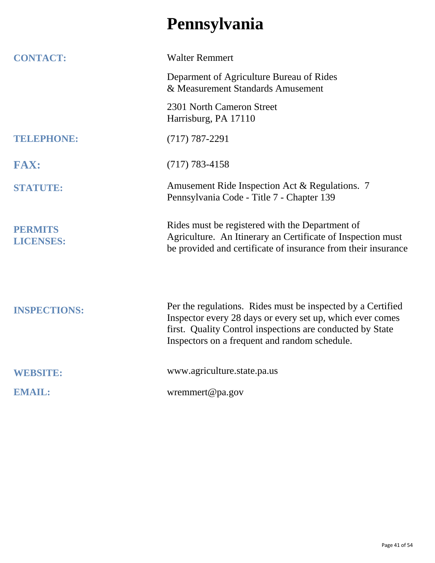## **Pennsylvania**

| <b>CONTACT:</b>                    | <b>Walter Remmert</b>                                                                                                                                                                                                                  |
|------------------------------------|----------------------------------------------------------------------------------------------------------------------------------------------------------------------------------------------------------------------------------------|
|                                    | Deparment of Agriculture Bureau of Rides<br>& Measurement Standards Amusement                                                                                                                                                          |
|                                    | 2301 North Cameron Street<br>Harrisburg, PA 17110                                                                                                                                                                                      |
| TELEPHONE:                         | $(717) 787 - 2291$                                                                                                                                                                                                                     |
| <b>FAX:</b>                        | $(717) 783 - 4158$                                                                                                                                                                                                                     |
| <b>STATUTE:</b>                    | Amusement Ride Inspection Act & Regulations. 7<br>Pennsylvania Code - Title 7 - Chapter 139                                                                                                                                            |
| <b>PERMITS</b><br><b>LICENSES:</b> | Rides must be registered with the Department of<br>Agriculture. An Itinerary an Certificate of Inspection must<br>be provided and certificate of insurance from their insurance                                                        |
| <b>INSPECTIONS:</b>                | Per the regulations. Rides must be inspected by a Certified<br>Inspector every 28 days or every set up, which ever comes<br>first. Quality Control inspections are conducted by State<br>Inspectors on a frequent and random schedule. |
| <b>WEBSITE:</b>                    | www.agriculture.state.pa.us                                                                                                                                                                                                            |
| <b>EMAIL:</b>                      | wremmert@pa.gov                                                                                                                                                                                                                        |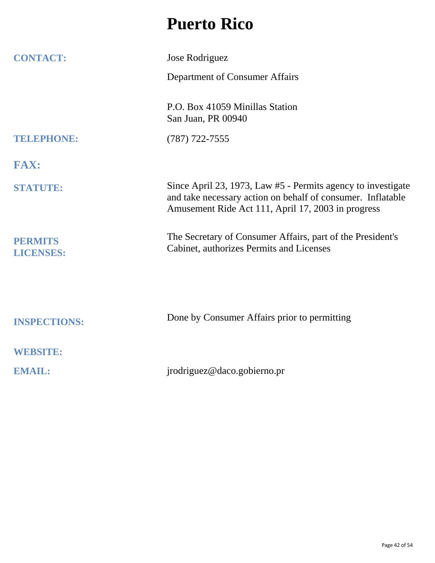#### **Puerto Rico**

| <b>CONTACT:</b>                    | Jose Rodriguez                                                                                                                                                                    |
|------------------------------------|-----------------------------------------------------------------------------------------------------------------------------------------------------------------------------------|
|                                    | Department of Consumer Affairs                                                                                                                                                    |
|                                    | P.O. Box 41059 Minillas Station<br>San Juan, PR 00940                                                                                                                             |
| TELEPHONE:                         | $(787)$ 722-7555                                                                                                                                                                  |
| <b>FAX:</b>                        |                                                                                                                                                                                   |
| <b>STATUTE:</b>                    | Since April 23, 1973, Law #5 - Permits agency to investigate<br>and take necessary action on behalf of consumer. Inflatable<br>Amusement Ride Act 111, April 17, 2003 in progress |
| <b>PERMITS</b><br><b>LICENSES:</b> | The Secretary of Consumer Affairs, part of the President's<br>Cabinet, authorizes Permits and Licenses                                                                            |
|                                    |                                                                                                                                                                                   |
| <b>INSPECTIONS:</b>                | Done by Consumer Affairs prior to permitting                                                                                                                                      |
| <b>WEBSITE:</b>                    |                                                                                                                                                                                   |
| <b>EMAIL:</b>                      | jrodriguez@daco.gobierno.pr                                                                                                                                                       |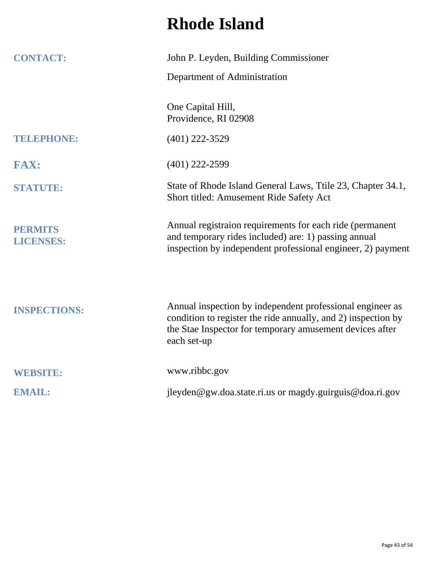## **Rhode Island**

| <b>CONTACT:</b>                    | John P. Leyden, Building Commissioner                                                                                                                                                                 |
|------------------------------------|-------------------------------------------------------------------------------------------------------------------------------------------------------------------------------------------------------|
|                                    | Department of Administration                                                                                                                                                                          |
|                                    | One Capital Hill,<br>Providence, RI 02908                                                                                                                                                             |
| TELEPHONE:                         | $(401)$ 222-3529                                                                                                                                                                                      |
| <b>FAX:</b>                        | $(401)$ 222-2599                                                                                                                                                                                      |
| <b>STATUTE:</b>                    | State of Rhode Island General Laws, Ttile 23, Chapter 34.1,<br>Short titled: Amusement Ride Safety Act                                                                                                |
| <b>PERMITS</b><br><b>LICENSES:</b> | Annual registraion requirements for each ride (permanent<br>and temporary rides included) are: 1) passing annual<br>inspection by independent professional engineer, 2) payment                       |
| <b>INSPECTIONS:</b>                | Annual inspection by independent professional engineer as<br>condition to register the ride annually, and 2) inspection by<br>the Stae Inspector for temporary amusement devices after<br>each set-up |
| <b>WEBSITE:</b>                    | www.ribbc.gov                                                                                                                                                                                         |
| <b>EMAIL:</b>                      | jleyden@gw.doa.state.ri.us or magdy.guirguis@doa.ri.gov                                                                                                                                               |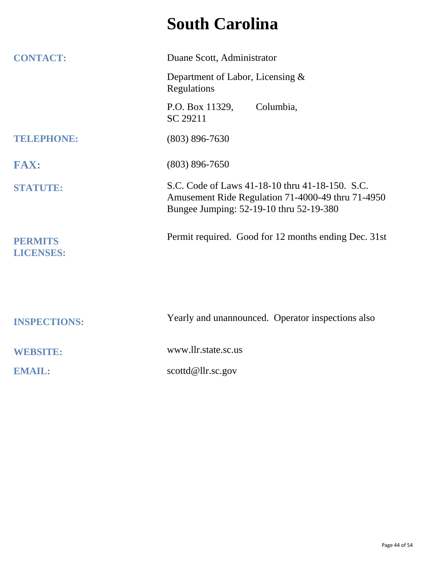## **South Carolina**

| <b>CONTACT:</b>                    | Duane Scott, Administrator                                                                                                                      |
|------------------------------------|-------------------------------------------------------------------------------------------------------------------------------------------------|
|                                    | Department of Labor, Licensing &<br>Regulations                                                                                                 |
|                                    | P.O. Box 11329,<br>Columbia,<br>SC 29211                                                                                                        |
| <b>TELEPHONE:</b>                  | $(803) 896 - 7630$                                                                                                                              |
| <b>FAX:</b>                        | $(803) 896 - 7650$                                                                                                                              |
| <b>STATUTE:</b>                    | S.C. Code of Laws 41-18-10 thru 41-18-150. S.C.<br>Amusement Ride Regulation 71-4000-49 thru 71-4950<br>Bungee Jumping: 52-19-10 thru 52-19-380 |
| <b>PERMITS</b><br><b>LICENSES:</b> | Permit required. Good for 12 months ending Dec. 31st                                                                                            |
|                                    |                                                                                                                                                 |
| <b>INSPECTIONS:</b>                | Yearly and unannounced. Operator inspections also                                                                                               |
| <b>WEBSITE:</b>                    | www.llr.state.sc.us                                                                                                                             |
| <b>EMAIL:</b>                      | scottd@llrsc.gov                                                                                                                                |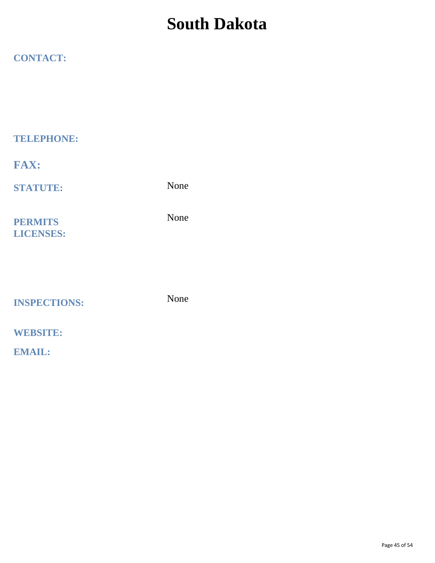### **South Dakota**

#### **CONTACT:**

**TELEPHONE:**

**FAX:**

**STATUTE:**

None

**PERMITS LICENSES:** None

**INSPECTIONS:**

None

#### **WEBSITE:**

**EMAIL:**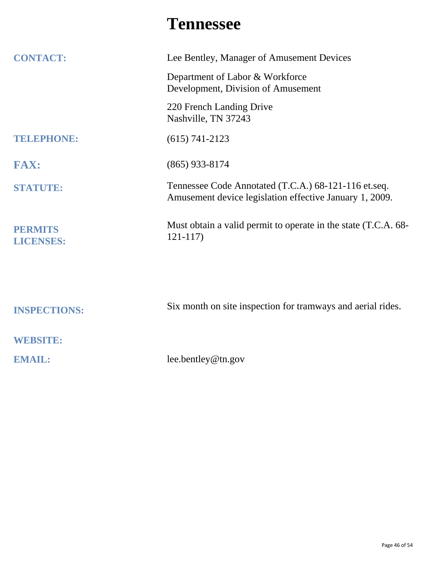### **Tennessee**

| <b>CONTACT:</b>                    | Lee Bentley, Manager of Amusement Devices                                                                       |
|------------------------------------|-----------------------------------------------------------------------------------------------------------------|
|                                    | Department of Labor & Workforce<br>Development, Division of Amusement                                           |
|                                    | 220 French Landing Drive<br>Nashville, TN 37243                                                                 |
| TELEPHONE:                         | $(615) 741 - 2123$                                                                                              |
| <b>FAX:</b>                        | $(865)$ 933-8174                                                                                                |
| <b>STATUTE:</b>                    | Tennessee Code Annotated (T.C.A.) 68-121-116 et.seq.<br>Amusement device legislation effective January 1, 2009. |
| <b>PERMITS</b><br><b>LICENSES:</b> | Must obtain a valid permit to operate in the state (T.C.A. 68-<br>$121 - 117$                                   |
|                                    |                                                                                                                 |
| <b>INSPECTIONS:</b>                | Six month on site inspection for tramways and aerial rides.                                                     |
| <b>WEBSITE:</b>                    |                                                                                                                 |
| <b>EMAIL:</b>                      | lee.bentley@tn.gov                                                                                              |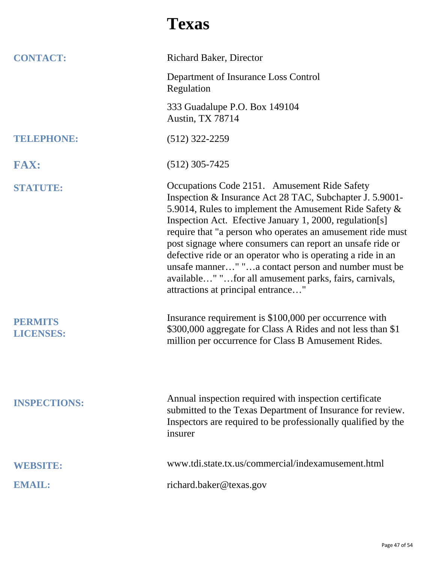### **Texas**

| <b>CONTACT:</b>                    | <b>Richard Baker</b> , Director                                                                                                                                                                                                                                                                                                                                                                                                                                                                                                                                                |
|------------------------------------|--------------------------------------------------------------------------------------------------------------------------------------------------------------------------------------------------------------------------------------------------------------------------------------------------------------------------------------------------------------------------------------------------------------------------------------------------------------------------------------------------------------------------------------------------------------------------------|
|                                    | Department of Insurance Loss Control<br>Regulation                                                                                                                                                                                                                                                                                                                                                                                                                                                                                                                             |
|                                    | 333 Guadalupe P.O. Box 149104<br><b>Austin, TX 78714</b>                                                                                                                                                                                                                                                                                                                                                                                                                                                                                                                       |
| <b>TELEPHONE:</b>                  | $(512)$ 322-2259                                                                                                                                                                                                                                                                                                                                                                                                                                                                                                                                                               |
| <b>FAX:</b>                        | $(512)$ 305-7425                                                                                                                                                                                                                                                                                                                                                                                                                                                                                                                                                               |
| <b>STATUTE:</b>                    | Occupations Code 2151. Amusement Ride Safety<br>Inspection & Insurance Act 28 TAC, Subchapter J. 5.9001-<br>5.9014, Rules to implement the Amusement Ride Safety &<br>Inspection Act. Efective January 1, 2000, regulation[s]<br>require that "a person who operates an amusement ride must<br>post signage where consumers can report an unsafe ride or<br>defective ride or an operator who is operating a ride in an<br>unsafe manner" "a contact person and number must be<br>available" "for all amusement parks, fairs, carnivals,<br>attractions at principal entrance" |
| <b>PERMITS</b><br><b>LICENSES:</b> | Insurance requirement is \$100,000 per occurrence with<br>\$300,000 aggregate for Class A Rides and not less than \$1<br>million per occurrence for Class B Amusement Rides.                                                                                                                                                                                                                                                                                                                                                                                                   |
| <b>INSPECTIONS:</b>                | Annual inspection required with inspection certificate<br>submitted to the Texas Department of Insurance for review.<br>Inspectors are required to be professionally qualified by the<br>insurer                                                                                                                                                                                                                                                                                                                                                                               |
| <b>WEBSITE:</b>                    | www.tdi.state.tx.us/commercial/indexamusement.html                                                                                                                                                                                                                                                                                                                                                                                                                                                                                                                             |
| <b>EMAIL:</b>                      | richard.baker@texas.gov                                                                                                                                                                                                                                                                                                                                                                                                                                                                                                                                                        |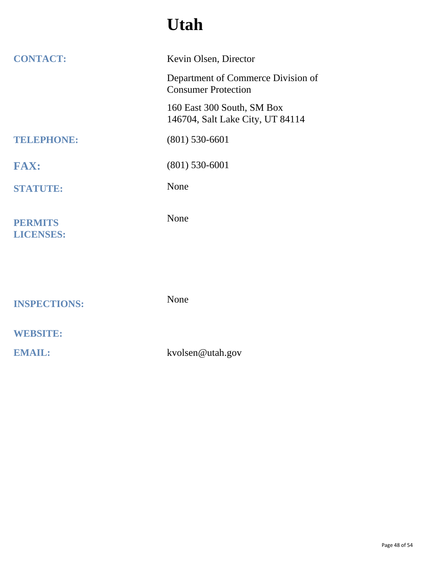## **Utah**

| <b>CONTACT:</b>                    | Kevin Olsen, Director                                            |
|------------------------------------|------------------------------------------------------------------|
|                                    | Department of Commerce Division of<br><b>Consumer Protection</b> |
|                                    | 160 East 300 South, SM Box<br>146704, Salt Lake City, UT 84114   |
| <b>TELEPHONE:</b>                  | $(801)$ 530-6601                                                 |
| <b>FAX:</b>                        | $(801)$ 530-6001                                                 |
| <b>STATUTE:</b>                    | None                                                             |
| <b>PERMITS</b><br><b>LICENSES:</b> | None                                                             |
|                                    |                                                                  |
| <b>INSPECTIONS:</b>                | None                                                             |
| <b>WEBSITE:</b>                    |                                                                  |
| <b>EMAIL:</b>                      | kvolsen@utah.gov                                                 |
|                                    |                                                                  |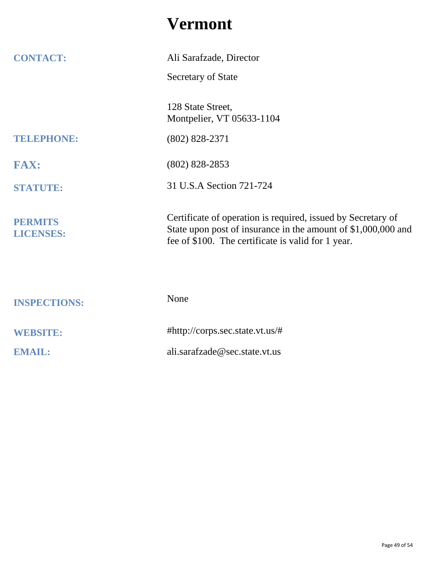### **Vermont**

| <b>CONTACT:</b>                    | Ali Sarafzade, Director                                                                                                                                                             |
|------------------------------------|-------------------------------------------------------------------------------------------------------------------------------------------------------------------------------------|
|                                    | Secretary of State                                                                                                                                                                  |
|                                    |                                                                                                                                                                                     |
|                                    | 128 State Street,<br>Montpelier, VT 05633-1104                                                                                                                                      |
| TELEPHONE:                         | $(802) 828 - 2371$                                                                                                                                                                  |
| <b>FAX:</b>                        | $(802)$ 828-2853                                                                                                                                                                    |
| <b>STATUTE:</b>                    | 31 U.S.A Section 721-724                                                                                                                                                            |
| <b>PERMITS</b><br><b>LICENSES:</b> | Certificate of operation is required, issued by Secretary of<br>State upon post of insurance in the amount of \$1,000,000 and<br>fee of \$100. The certificate is valid for 1 year. |
|                                    |                                                                                                                                                                                     |
| <b>INSPECTIONS:</b>                | None                                                                                                                                                                                |
| <b>WEBSITE:</b>                    | #http://corps.sec.state.vt.us/#                                                                                                                                                     |
| <b>EMAIL:</b>                      | ali.sarafzade@sec.state.vt.us                                                                                                                                                       |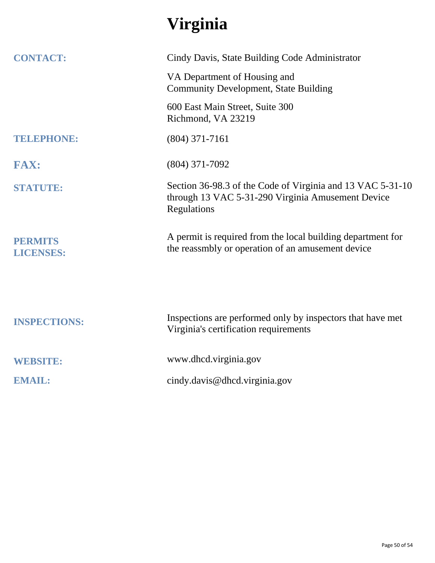# **Virginia**

| <b>CONTACT:</b>                    | Cindy Davis, State Building Code Administrator                                                                                 |
|------------------------------------|--------------------------------------------------------------------------------------------------------------------------------|
|                                    | VA Department of Housing and<br><b>Community Development, State Building</b>                                                   |
|                                    | 600 East Main Street, Suite 300<br>Richmond, VA 23219                                                                          |
| TELEPHONE:                         | $(804)$ 371-7161                                                                                                               |
| <b>FAX:</b>                        | $(804)$ 371-7092                                                                                                               |
| <b>STATUTE:</b>                    | Section 36-98.3 of the Code of Virginia and 13 VAC 5-31-10<br>through 13 VAC 5-31-290 Virginia Amusement Device<br>Regulations |
| <b>PERMITS</b><br><b>LICENSES:</b> | A permit is required from the local building department for<br>the reassmbly or operation of an amusement device               |
| <b>INSPECTIONS:</b>                | Inspections are performed only by inspectors that have met<br>Virginia's certification requirements                            |
| <b>WEBSITE:</b>                    | www.dhcd.virginia.gov                                                                                                          |
| <b>EMAIL:</b>                      | cindy.davis@dhcd.virginia.gov                                                                                                  |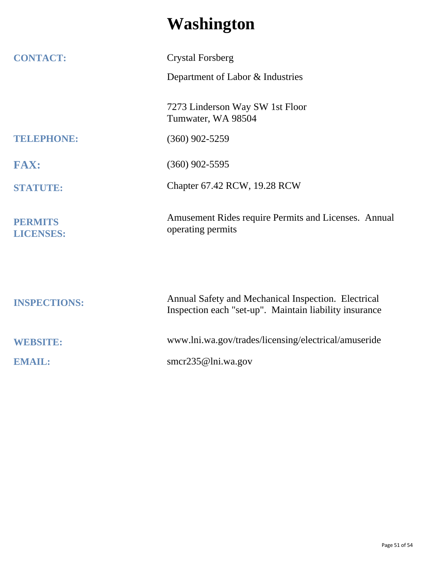## **Washington**

| <b>CONTACT:</b>                    | <b>Crystal Forsberg</b>                                                                                       |
|------------------------------------|---------------------------------------------------------------------------------------------------------------|
|                                    | Department of Labor & Industries                                                                              |
|                                    | 7273 Linderson Way SW 1st Floor<br>Tumwater, WA 98504                                                         |
| <b>TELEPHONE:</b>                  | $(360)$ 902-5259                                                                                              |
| <b>FAX:</b>                        | $(360)$ 902-5595                                                                                              |
| <b>STATUTE:</b>                    | Chapter 67.42 RCW, 19.28 RCW                                                                                  |
| <b>PERMITS</b><br><b>LICENSES:</b> | Amusement Rides require Permits and Licenses. Annual<br>operating permits                                     |
| <b>INSPECTIONS:</b>                | Annual Safety and Mechanical Inspection. Electrical<br>Inspection each "set-up". Maintain liability insurance |
| <b>WEBSITE:</b>                    | www.lni.wa.gov/trades/licensing/electrical/amuseride                                                          |
| <b>EMAIL:</b>                      | smcr235@lni.wa.gov                                                                                            |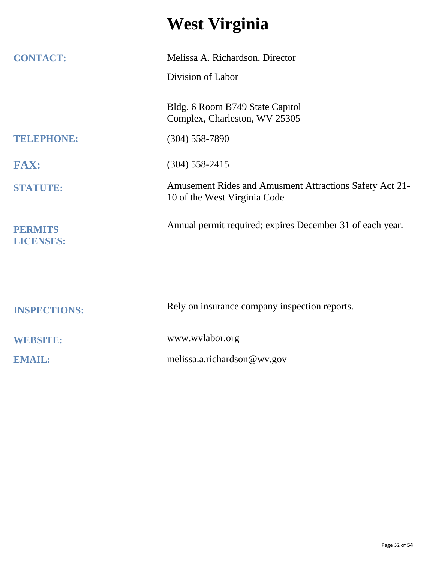## **West Virginia**

| <b>CONTACT:</b>                    | Melissa A. Richardson, Director                                                         |
|------------------------------------|-----------------------------------------------------------------------------------------|
|                                    | Division of Labor                                                                       |
|                                    | Bldg. 6 Room B749 State Capitol<br>Complex, Charleston, WV 25305                        |
| TELEPHONE:                         | $(304)$ 558-7890                                                                        |
| <b>FAX:</b>                        | $(304)$ 558-2415                                                                        |
| <b>STATUTE:</b>                    | Amusement Rides and Amusment Attractions Safety Act 21-<br>10 of the West Virginia Code |
| <b>PERMITS</b><br><b>LICENSES:</b> | Annual permit required; expires December 31 of each year.                               |
|                                    |                                                                                         |
| <b>INSPECTIONS:</b>                | Rely on insurance company inspection reports.                                           |
| <b>WEBSITE:</b>                    | www.wvlabor.org                                                                         |
| <b>EMAIL:</b>                      | melissa.a.richardson@wv.gov                                                             |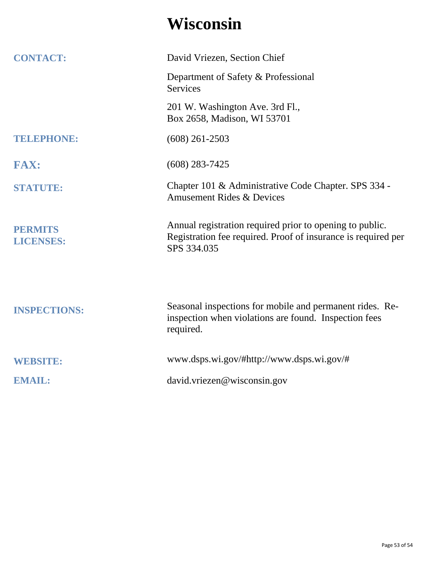## **Wisconsin**

| <b>CONTACT:</b>                    | David Vriezen, Section Chief                                                                                                             |
|------------------------------------|------------------------------------------------------------------------------------------------------------------------------------------|
|                                    | Department of Safety & Professional<br><b>Services</b>                                                                                   |
|                                    | 201 W. Washington Ave. 3rd Fl.,<br>Box 2658, Madison, WI 53701                                                                           |
| TELEPHONE:                         | $(608)$ 261-2503                                                                                                                         |
| <b>FAX:</b>                        | $(608)$ 283-7425                                                                                                                         |
| <b>STATUTE:</b>                    | Chapter 101 & Administrative Code Chapter. SPS 334 -<br><b>Amusement Rides &amp; Devices</b>                                             |
| <b>PERMITS</b><br><b>LICENSES:</b> | Annual registration required prior to opening to public.<br>Registration fee required. Proof of insurance is required per<br>SPS 334.035 |
| <b>INSPECTIONS:</b>                | Seasonal inspections for mobile and permanent rides. Re-<br>inspection when violations are found. Inspection fees<br>required.           |
| <b>WEBSITE:</b>                    | www.dsps.wi.gov/#http://www.dsps.wi.gov/#                                                                                                |
| <b>EMAIL:</b>                      | david.vriezen@wisconsin.gov                                                                                                              |